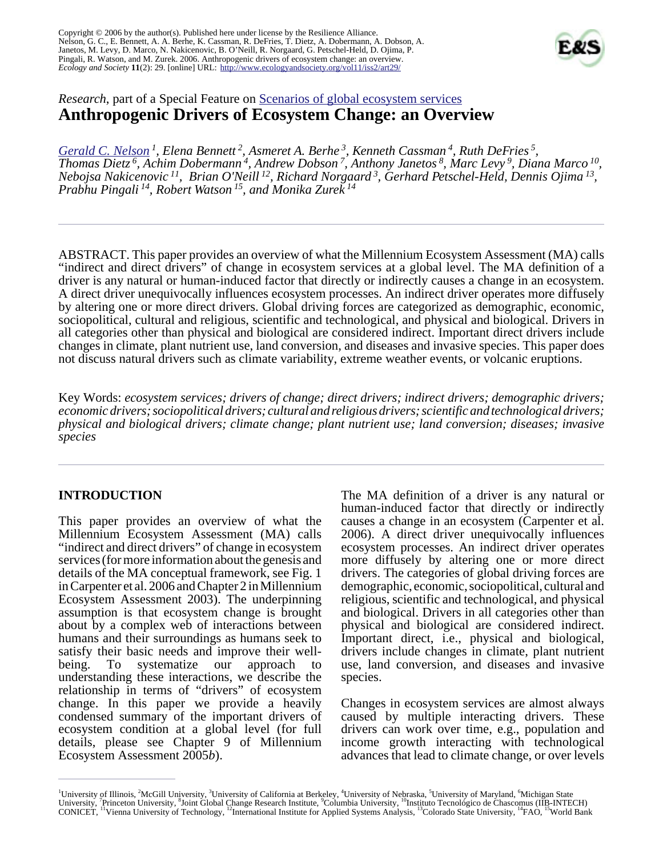Copyright © 2006 by the author(s). Published here under license by the Resilience Alliance. Nelson, G. C., E. Bennett, A. A. Berhe, K. Cassman, R. DeFries, T. Dietz, A. Dobermann, A. Dobson, A. Janetos, M. Levy, D. Marco, N. Nakicenovic, B. O'Neill, R. Norgaard, G. Petschel-Held, D. Ojima, P. Pingali, R. Watson, and M. Zurek. 2006. Anthropogenic drivers of ecosystem change: an overview. *Ecology and Society* **11**(2): 29. [online] URL: <http://www.ecologyandsociety.org/vol11/iss2/art29/>



# *Research*, part of a Special Feature on **Scenarios** of global ecosystem services **Anthropogenic Drivers of Ecosystem Change: an Overview**

*[Gerald C. Nelson](mailto:gnelson@uiuc.edu)<sup>1</sup>, Elena Bennett<sup>2</sup>, Asmeret A. Berhe<sup>3</sup>, Kenneth Cassman<sup>4</sup>, Ruth DeFries<sup>5</sup>, Thomas Dietz*<sup>6</sup>, Achim Dobermann<sup>4</sup>, Andrew Dobson<sup>7</sup>, Anthony Janetos<sup>8</sup>, Marc Levy<sup>9</sup>, Diana Marco<sup>10</sup>, *Nebojsa Nakicenovic<sup>11</sup> , Brian O'Neill<sup>12</sup> , Richard Norgaard<sup>3</sup> , Gerhard Petschel-Held, Dennis Ojima<sup>13</sup> , Prabhu Pingali<sup>14</sup> , Robert Watson<sup>15</sup>, and Monika Zurek<sup>14</sup>*

ABSTRACT. This paper provides an overview of what the Millennium Ecosystem Assessment (MA) calls "indirect and direct drivers" of change in ecosystem services at a global level. The MA definition of a driver is any natural or human-induced factor that directly or indirectly causes a change in an ecosystem. A direct driver unequivocally influences ecosystem processes. An indirect driver operates more diffusely by altering one or more direct drivers. Global driving forces are categorized as demographic, economic, sociopolitical, cultural and religious, scientific and technological, and physical and biological. Drivers in all categories other than physical and biological are considered indirect. Important direct drivers include changes in climate, plant nutrient use, land conversion, and diseases and invasive species. This paper does not discuss natural drivers such as climate variability, extreme weather events, or volcanic eruptions.

Key Words: *ecosystem services; drivers of change; direct drivers; indirect drivers; demographic drivers; economic drivers; sociopolitical drivers; cultural and religious drivers; scientific and technological drivers; physical and biological drivers; climate change; plant nutrient use; land conversion; diseases; invasive species*

## **INTRODUCTION**

This paper provides an overview of what the Millennium Ecosystem Assessment (MA) calls "indirect and direct drivers" of change in ecosystem services (for more information about the genesis and details of the MA conceptual framework, see Fig. 1 in Carpenter et al. 2006 and Chapter 2 in Millennium Ecosystem Assessment 2003). The underpinning assumption is that ecosystem change is brought about by a complex web of interactions between humans and their surroundings as humans seek to satisfy their basic needs and improve their wellbeing. To systematize our approach to understanding these interactions, we describe the relationship in terms of "drivers" of ecosystem change. In this paper we provide a heavily condensed summary of the important drivers of ecosystem condition at a global level (for full details, please see Chapter 9 of Millennium Ecosystem Assessment 2005*b*).

The MA definition of a driver is any natural or human-induced factor that directly or indirectly causes a change in an ecosystem (Carpenter et al. 2006). A direct driver unequivocally influences ecosystem processes. An indirect driver operates more diffusely by altering one or more direct drivers. The categories of global driving forces are demographic, economic, sociopolitical, cultural and religious, scientific and technological, and physical and biological. Drivers in all categories other than physical and biological are considered indirect. Important direct, i.e., physical and biological, drivers include changes in climate, plant nutrient use, land conversion, and diseases and invasive species.

Changes in ecosystem services are almost always caused by multiple interacting drivers. These drivers can work over time, e.g., population and income growth interacting with technological advances that lead to climate change, or over levels

<sup>&</sup>lt;sup>1</sup>University of Illinois, <sup>2</sup>McGill University, <sup>3</sup>University of California at Berkeley, <sup>4</sup>University of Nebraska, <sup>5</sup>University of Maryland, <sup>6</sup>Michigan State University, <sup>7</sup>Princeton University, <sup>8</sup>Joint Global Change Research Institute, <sup>9</sup>Columbia University, <sup>10</sup>Instituto Tecnológico de Chascomus (IIB-INTECH) CONICET, <sup>11</sup>Vienna University of Technology, <sup>12</sup>International Institute for Applied Systems Analysis, <sup>13</sup>Colorado State University, <sup>14</sup>FAO, <sup>15</sup>World Bank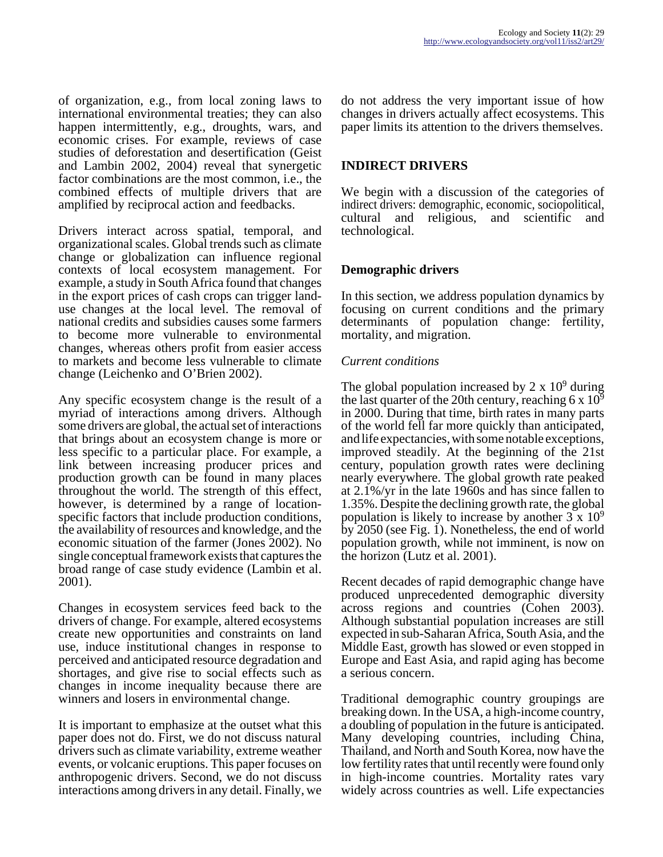of organization, e.g., from local zoning laws to international environmental treaties; they can also happen intermittently, e.g., droughts, wars, and economic crises. For example, reviews of case studies of deforestation and desertification (Geist and Lambin 2002, 2004) reveal that synergetic factor combinations are the most common, i.e., the combined effects of multiple drivers that are amplified by reciprocal action and feedbacks.

Drivers interact across spatial, temporal, and organizational scales. Global trends such as climate change or globalization can influence regional contexts of local ecosystem management. For example, a study in South Africa found that changes in the export prices of cash crops can trigger landuse changes at the local level. The removal of national credits and subsidies causes some farmers to become more vulnerable to environmental changes, whereas others profit from easier access to markets and become less vulnerable to climate change (Leichenko and O'Brien 2002).

Any specific ecosystem change is the result of a myriad of interactions among drivers. Although some drivers are global, the actual set of interactions that brings about an ecosystem change is more or less specific to a particular place. For example, a link between increasing producer prices and production growth can be found in many places throughout the world. The strength of this effect, however, is determined by a range of locationspecific factors that include production conditions, the availability of resources and knowledge, and the economic situation of the farmer (Jones 2002). No single conceptual framework exists that captures the broad range of case study evidence (Lambin et al. 2001).

Changes in ecosystem services feed back to the drivers of change. For example, altered ecosystems create new opportunities and constraints on land use, induce institutional changes in response to perceived and anticipated resource degradation and shortages, and give rise to social effects such as changes in income inequality because there are winners and losers in environmental change.

It is important to emphasize at the outset what this paper does not do. First, we do not discuss natural drivers such as climate variability, extreme weather events, or volcanic eruptions. This paper focuses on anthropogenic drivers. Second, we do not discuss interactions among drivers in any detail. Finally, we

do not address the very important issue of how changes in drivers actually affect ecosystems. This paper limits its attention to the drivers themselves.

## **INDIRECT DRIVERS**

We begin with a discussion of the categories of indirect drivers: demographic, economic, sociopolitical, cultural and religious, and scientific and technological.

## **Demographic drivers**

In this section, we address population dynamics by focusing on current conditions and the primary determinants of population change: fertility, mortality, and migration.

#### *Current conditions*

The global population increased by  $2 \times 10^9$  during the last quarter of the 20th century, reaching 6 x  $10^9$ in 2000. During that time, birth rates in many parts of the world fell far more quickly than anticipated, and life expectancies, with some notable exceptions, improved steadily. At the beginning of the 21st century, population growth rates were declining nearly everywhere. The global growth rate peaked at 2.1%/yr in the late 1960s and has since fallen to 1.35%. Despite the declining growth rate, the global population is likely to increase by another  $3 \times 10^9$ by 2050 (see Fig. 1). Nonetheless, the end of world population growth, while not imminent, is now on the horizon (Lutz et al. 2001).

Recent decades of rapid demographic change have produced unprecedented demographic diversity across regions and countries (Cohen 2003). Although substantial population increases are still expected in sub-Saharan Africa, South Asia, and the Middle East, growth has slowed or even stopped in Europe and East Asia, and rapid aging has become a serious concern.

Traditional demographic country groupings are breaking down. In the USA, a high-income country, a doubling of population in the future is anticipated. Many developing countries, including China, Thailand, and North and South Korea, now have the low fertility rates that until recently were found only in high-income countries. Mortality rates vary widely across countries as well. Life expectancies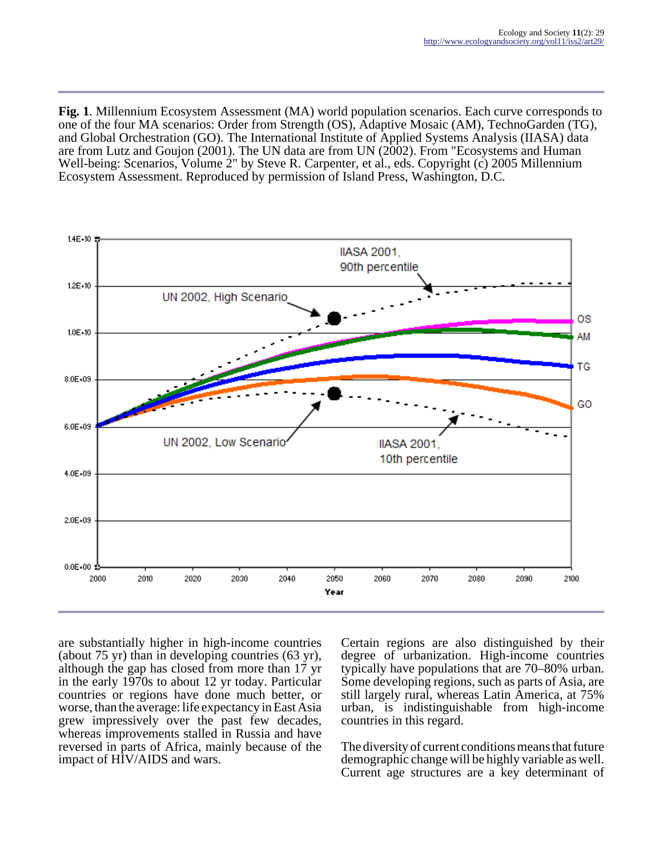**Fig. 1**. Millennium Ecosystem Assessment (MA) world population scenarios. Each curve corresponds to one of the four MA scenarios: Order from Strength (OS), Adaptive Mosaic (AM), TechnoGarden (TG), and Global Orchestration (GO). The International Institute of Applied Systems Analysis (IIASA) data are from Lutz and Goujon (2001). The UN data are from UN (2002). From "Ecosystems and Human Well-being: Scenarios, Volume 2" by Steve R. Carpenter, et al., eds. Copyright (c) 2005 Millennium Ecosystem Assessment. Reproduced by permission of Island Press, Washington, D.C.



are substantially higher in high-income countries (about 75 yr) than in developing countries (63 yr), although the gap has closed from more than 17 yr in the early 1970s to about 12 yr today. Particular countries or regions have done much better, or worse, than the average: life expectancy in East Asia grew impressively over the past few decades, whereas improvements stalled in Russia and have reversed in parts of Africa, mainly because of the impact of HIV/AIDS and wars.

Certain regions are also distinguished by their degree of urbanization. High-income countries typically have populations that are 70–80% urban. Some developing regions, such as parts of Asia, are still largely rural, whereas Latin America, at 75% urban, is indistinguishable from high-income countries in this regard.

The diversity of current conditions means that future demographic change will be highly variable as well. Current age structures are a key determinant of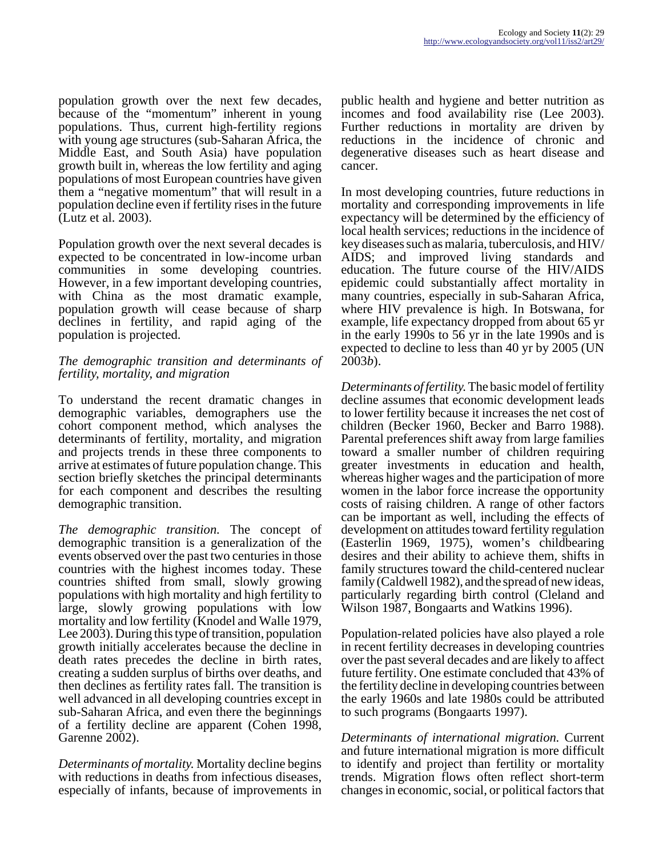population growth over the next few decades, because of the "momentum" inherent in young populations. Thus, current high-fertility regions with young age structures (sub-Saharan Africa, the Middle East, and South Asia) have population growth built in, whereas the low fertility and aging populations of most European countries have given them a "negative momentum" that will result in a population decline even if fertility rises in the future (Lutz et al. 2003).

Population growth over the next several decades is expected to be concentrated in low-income urban communities in some developing countries. However, in a few important developing countries, with China as the most dramatic example, population growth will cease because of sharp declines in fertility, and rapid aging of the population is projected.

#### *The demographic transition and determinants of fertility, mortality, and migration*

To understand the recent dramatic changes in demographic variables, demographers use the cohort component method, which analyses the determinants of fertility, mortality, and migration and projects trends in these three components to arrive at estimates of future population change. This section briefly sketches the principal determinants for each component and describes the resulting demographic transition.

*The demographic transition.* The concept of demographic transition is a generalization of the events observed over the past two centuries in those countries with the highest incomes today. These countries shifted from small, slowly growing populations with high mortality and high fertility to large, slowly growing populations with low mortality and low fertility (Knodel and Walle 1979, Lee 2003). During this type of transition, population growth initially accelerates because the decline in death rates precedes the decline in birth rates, creating a sudden surplus of births over deaths, and then declines as fertility rates fall. The transition is well advanced in all developing countries except in sub-Saharan Africa, and even there the beginnings of a fertility decline are apparent (Cohen 1998, Garenne 2002).

*Determinants of mortality.* Mortality decline begins with reductions in deaths from infectious diseases, especially of infants, because of improvements in public health and hygiene and better nutrition as incomes and food availability rise (Lee 2003). Further reductions in mortality are driven by reductions in the incidence of chronic and degenerative diseases such as heart disease and cancer.

In most developing countries, future reductions in mortality and corresponding improvements in life expectancy will be determined by the efficiency of local health services; reductions in the incidence of key diseases such as malaria, tuberculosis, and HIV/ AIDS; and improved living standards and education. The future course of the HIV/AIDS epidemic could substantially affect mortality in many countries, especially in sub-Saharan Africa, where HIV prevalence is high. In Botswana, for example, life expectancy dropped from about 65 yr in the early 1990s to 56 yr in the late 1990s and is expected to decline to less than 40 yr by 2005 (UN 2003*b*).

*Determinants of fertility.* The basic model of fertility decline assumes that economic development leads to lower fertility because it increases the net cost of children (Becker 1960, Becker and Barro 1988). Parental preferences shift away from large families toward a smaller number of children requiring greater investments in education and health, whereas higher wages and the participation of more women in the labor force increase the opportunity costs of raising children. A range of other factors can be important as well, including the effects of development on attitudes toward fertility regulation (Easterlin 1969, 1975), women's childbearing desires and their ability to achieve them, shifts in family structures toward the child-centered nuclear family (Caldwell 1982), and the spread of new ideas, particularly regarding birth control (Cleland and Wilson 1987, Bongaarts and Watkins 1996).

Population-related policies have also played a role in recent fertility decreases in developing countries over the past several decades and are likely to affect future fertility. One estimate concluded that 43% of the fertility decline in developing countries between the early 1960s and late 1980s could be attributed to such programs (Bongaarts 1997).

*Determinants of international migration.* Current and future international migration is more difficult to identify and project than fertility or mortality trends. Migration flows often reflect short-term changes in economic, social, or political factors that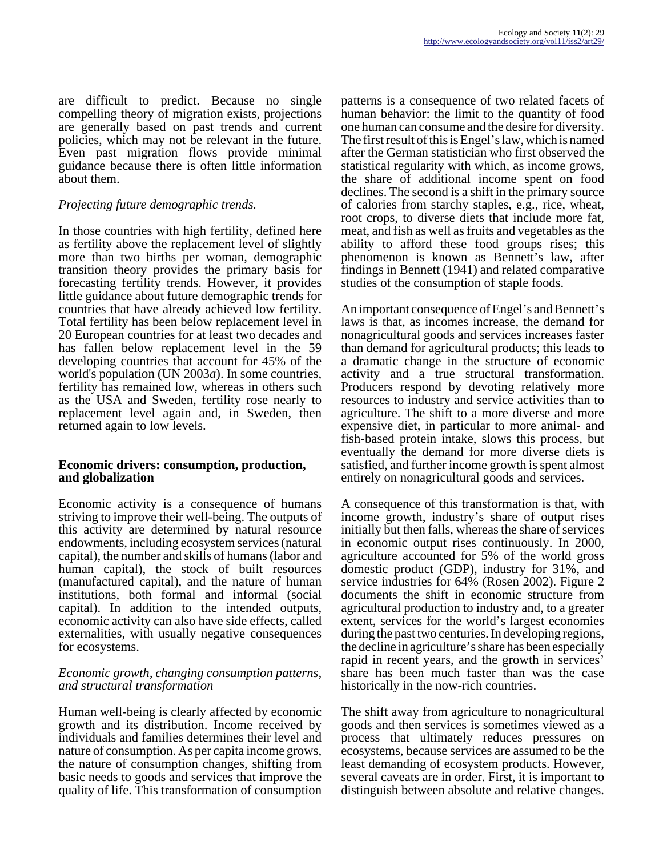are difficult to predict. Because no single compelling theory of migration exists, projections are generally based on past trends and current policies, which may not be relevant in the future. Even past migration flows provide minimal guidance because there is often little information about them.

## *Projecting future demographic trends.*

In those countries with high fertility, defined here as fertility above the replacement level of slightly more than two births per woman, demographic transition theory provides the primary basis for forecasting fertility trends. However, it provides little guidance about future demographic trends for countries that have already achieved low fertility. Total fertility has been below replacement level in 20 European countries for at least two decades and has fallen below replacement level in the 59 developing countries that account for 45% of the world's population (UN 2003*a*). In some countries, fertility has remained low, whereas in others such as the USA and Sweden, fertility rose nearly to replacement level again and, in Sweden, then returned again to low levels.

#### **Economic drivers: consumption, production, and globalization**

Economic activity is a consequence of humans striving to improve their well-being. The outputs of this activity are determined by natural resource endowments, including ecosystem services (natural capital), the number and skills of humans (labor and human capital), the stock of built resources (manufactured capital), and the nature of human institutions, both formal and informal (social capital). In addition to the intended outputs, economic activity can also have side effects, called externalities, with usually negative consequences for ecosystems.

#### *Economic growth, changing consumption patterns, and structural transformation*

Human well-being is clearly affected by economic growth and its distribution. Income received by individuals and families determines their level and nature of consumption. As per capita income grows, the nature of consumption changes, shifting from basic needs to goods and services that improve the quality of life. This transformation of consumption

patterns is a consequence of two related facets of human behavior: the limit to the quantity of food one human can consume and the desire for diversity. The first result of this is Engel's law, which is named after the German statistician who first observed the statistical regularity with which, as income grows, the share of additional income spent on food declines. The second is a shift in the primary source of calories from starchy staples, e.g., rice, wheat, root crops, to diverse diets that include more fat, meat, and fish as well as fruits and vegetables as the ability to afford these food groups rises; this phenomenon is known as Bennett's law, after findings in Bennett (1941) and related comparative studies of the consumption of staple foods.

An important consequence of Engel's and Bennett's laws is that, as incomes increase, the demand for nonagricultural goods and services increases faster than demand for agricultural products; this leads to a dramatic change in the structure of economic activity and a true structural transformation. Producers respond by devoting relatively more resources to industry and service activities than to agriculture. The shift to a more diverse and more expensive diet, in particular to more animal- and fish-based protein intake, slows this process, but eventually the demand for more diverse diets is satisfied, and further income growth is spent almost entirely on nonagricultural goods and services.

A consequence of this transformation is that, with income growth, industry's share of output rises initially but then falls, whereas the share of services in economic output rises continuously. In 2000, agriculture accounted for 5% of the world gross domestic product (GDP), industry for 31%, and service industries for 64% (Rosen 2002). Figure 2 documents the shift in economic structure from agricultural production to industry and, to a greater extent, services for the world's largest economies during the past two centuries. In developing regions, the decline in agriculture's share has been especially rapid in recent years, and the growth in services' share has been much faster than was the case historically in the now-rich countries.

The shift away from agriculture to nonagricultural goods and then services is sometimes viewed as a process that ultimately reduces pressures on ecosystems, because services are assumed to be the least demanding of ecosystem products. However, several caveats are in order. First, it is important to distinguish between absolute and relative changes.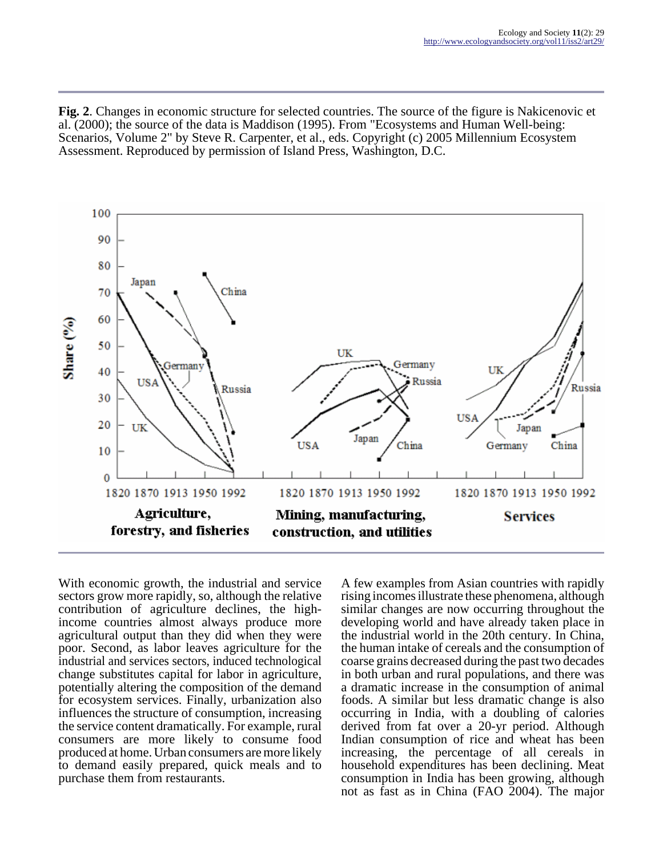**Fig. 2**. Changes in economic structure for selected countries. The source of the figure is Nakicenovic et al. (2000); the source of the data is Maddison (1995). From "Ecosystems and Human Well-being: Scenarios, Volume 2" by Steve R. Carpenter, et al., eds. Copyright (c) 2005 Millennium Ecosystem Assessment. Reproduced by permission of Island Press, Washington, D.C.



With economic growth, the industrial and service sectors grow more rapidly, so, although the relative contribution of agriculture declines, the highincome countries almost always produce more agricultural output than they did when they were poor. Second, as labor leaves agriculture for the industrial and services sectors, induced technological change substitutes capital for labor in agriculture, potentially altering the composition of the demand for ecosystem services. Finally, urbanization also influences the structure of consumption, increasing the service content dramatically. For example, rural consumers are more likely to consume food produced at home. Urban consumers are more likely to demand easily prepared, quick meals and to purchase them from restaurants.

A few examples from Asian countries with rapidly rising incomes illustrate these phenomena, although similar changes are now occurring throughout the developing world and have already taken place in the industrial world in the 20th century. In China, the human intake of cereals and the consumption of coarse grains decreased during the past two decades in both urban and rural populations, and there was a dramatic increase in the consumption of animal foods. A similar but less dramatic change is also occurring in India, with a doubling of calories derived from fat over a 20-yr period. Although Indian consumption of rice and wheat has been increasing, the percentage of all cereals in household expenditures has been declining. Meat consumption in India has been growing, although not as fast as in China (FAO 2004). The major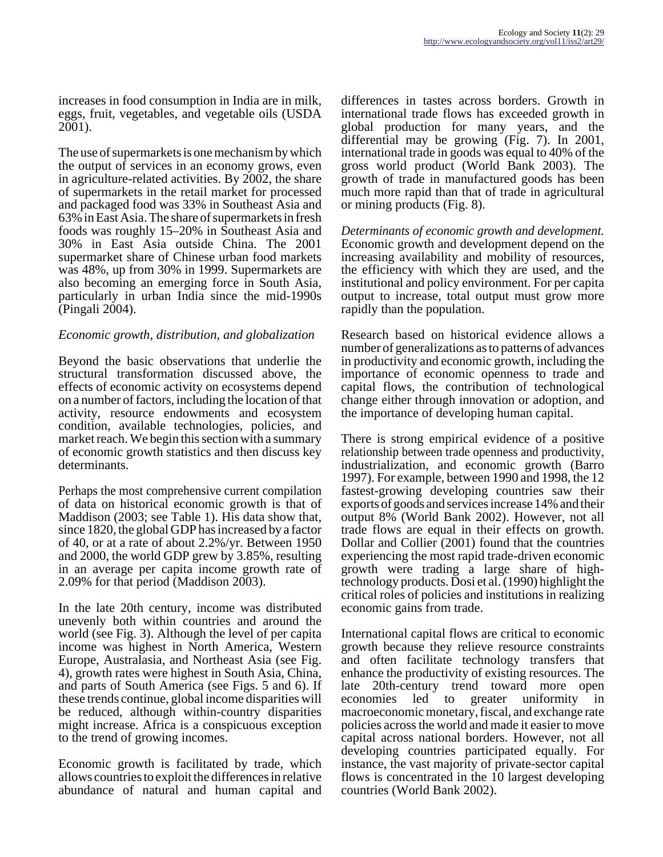increases in food consumption in India are in milk, eggs, fruit, vegetables, and vegetable oils (USDA 2001).

The use of supermarkets is one mechanism by which the output of services in an economy grows, even in agriculture-related activities. By 2002, the share of supermarkets in the retail market for processed and packaged food was 33% in Southeast Asia and 63% in East Asia. The share of supermarkets in fresh foods was roughly 15–20% in Southeast Asia and 30% in East Asia outside China. The 2001 supermarket share of Chinese urban food markets was 48%, up from 30% in 1999. Supermarkets are also becoming an emerging force in South Asia, particularly in urban India since the mid-1990s (Pingali 2004).

#### *Economic growth, distribution, and globalization*

Beyond the basic observations that underlie the structural transformation discussed above, the effects of economic activity on ecosystems depend on a number of factors, including the location of that activity, resource endowments and ecosystem condition, available technologies, policies, and market reach. We begin this section with a summary of economic growth statistics and then discuss key determinants.

Perhaps the most comprehensive current compilation of data on historical economic growth is that of Maddison (2003; see Table 1). His data show that, since 1820, the global GDP has increased by a factor of 40, or at a rate of about 2.2%/yr. Between 1950 and 2000, the world GDP grew by 3.85%, resulting in an average per capita income growth rate of 2.09% for that period (Maddison 2003).

In the late 20th century, income was distributed unevenly both within countries and around the world (see Fig. 3). Although the level of per capita income was highest in North America, Western Europe, Australasia, and Northeast Asia (see Fig. 4), growth rates were highest in South Asia, China, and parts of South America (see Figs. 5 and 6). If these trends continue, global income disparities will be reduced, although within-country disparities might increase. Africa is a conspicuous exception to the trend of growing incomes.

Economic growth is facilitated by trade, which allows countries to exploit the differences in relative abundance of natural and human capital and

differences in tastes across borders. Growth in international trade flows has exceeded growth in global production for many years, and the differential may be growing (Fig. 7). In 2001, international trade in goods was equal to 40% of the gross world product (World Bank 2003). The growth of trade in manufactured goods has been much more rapid than that of trade in agricultural or mining products (Fig. 8).

*Determinants of economic growth and development.* Economic growth and development depend on the increasing availability and mobility of resources, the efficiency with which they are used, and the institutional and policy environment. For per capita output to increase, total output must grow more rapidly than the population.

Research based on historical evidence allows a number of generalizations as to patterns of advances in productivity and economic growth, including the importance of economic openness to trade and capital flows, the contribution of technological change either through innovation or adoption, and the importance of developing human capital.

There is strong empirical evidence of a positive relationship between trade openness and productivity, industrialization, and economic growth (Barro 1997). For example, between 1990 and 1998, the 12 fastest-growing developing countries saw their exports of goods and services increase 14% and their output 8% (World Bank 2002). However, not all trade flows are equal in their effects on growth. Dollar and Collier (2001) found that the countries experiencing the most rapid trade-driven economic growth were trading a large share of hightechnology products. Dosi et al. (1990) highlight the critical roles of policies and institutions in realizing economic gains from trade.

International capital flows are critical to economic growth because they relieve resource constraints and often facilitate technology transfers that enhance the productivity of existing resources. The late 20th-century trend toward more open economies led to greater uniformity in macroeconomic monetary, fiscal, and exchange rate policies across the world and made it easier to move capital across national borders. However, not all developing countries participated equally. For instance, the vast majority of private-sector capital flows is concentrated in the 10 largest developing countries (World Bank 2002).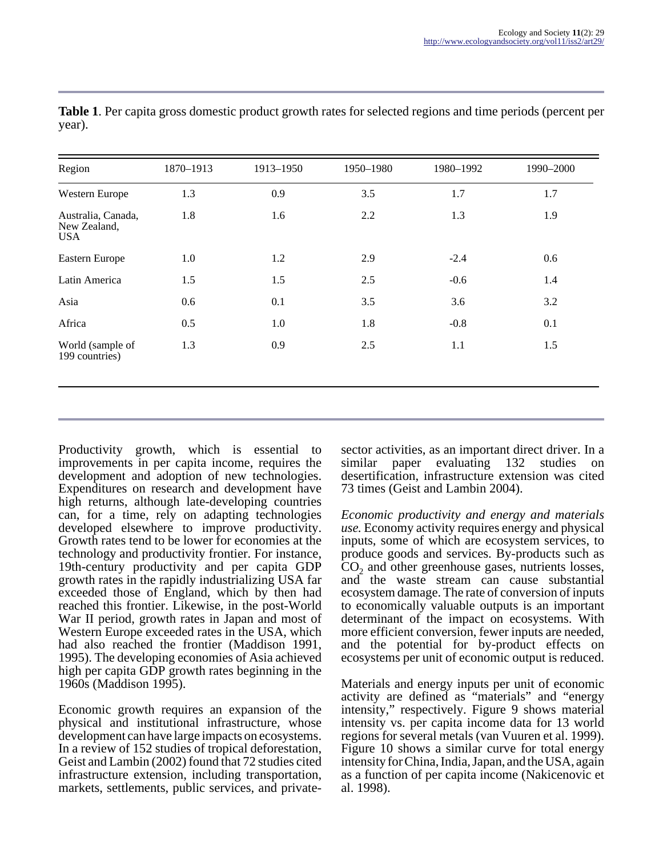| 0.9<br>1.3<br>1.8<br>1.6 | 3.5<br>2.2                      | 1.7    | 1.7 |
|--------------------------|---------------------------------|--------|-----|
|                          |                                 |        |     |
|                          |                                 | 1.3    | 1.9 |
| 1.2                      | 2.9                             | $-2.4$ | 0.6 |
| 1.5                      | 2.5                             | $-0.6$ | 1.4 |
| 0.1                      | 3.5                             | 3.6    | 3.2 |
| 1.0                      | 1.8                             | $-0.8$ | 0.1 |
| 0.9                      | 2.5                             | 1.1    | 1.5 |
|                          | 1.0<br>1.5<br>0.6<br>0.5<br>1.3 |        |     |

**Table 1**. Per capita gross domestic product growth rates for selected regions and time periods (percent per year).

Productivity growth, which is essential to improvements in per capita income, requires the development and adoption of new technologies. Expenditures on research and development have high returns, although late-developing countries can, for a time, rely on adapting technologies developed elsewhere to improve productivity. Growth rates tend to be lower for economies at the technology and productivity frontier. For instance, 19th-century productivity and per capita GDP growth rates in the rapidly industrializing USA far exceeded those of England, which by then had reached this frontier. Likewise, in the post-World War II period, growth rates in Japan and most of Western Europe exceeded rates in the USA, which had also reached the frontier (Maddison 1991, 1995). The developing economies of Asia achieved high per capita GDP growth rates beginning in the 1960s (Maddison 1995).

Economic growth requires an expansion of the physical and institutional infrastructure, whose development can have large impacts on ecosystems. In a review of 152 studies of tropical deforestation, Geist and Lambin (2002) found that 72 studies cited infrastructure extension, including transportation, markets, settlements, public services, and privatesector activities, as an important direct driver. In a similar paper evaluating 132 studies on desertification, infrastructure extension was cited 73 times (Geist and Lambin 2004).

*Economic productivity and energy and materials use.* Economy activity requires energy and physical inputs, some of which are ecosystem services, to produce goods and services. By-products such as  $CO<sub>2</sub>$  and other greenhouse gases, nutrients losses, and the waste stream can cause substantial ecosystem damage. The rate of conversion of inputs to economically valuable outputs is an important determinant of the impact on ecosystems. With more efficient conversion, fewer inputs are needed, and the potential for by-product effects on ecosystems per unit of economic output is reduced.

Materials and energy inputs per unit of economic activity are defined as "materials" and "energy intensity," respectively. Figure 9 shows material intensity vs. per capita income data for 13 world regions for several metals (van Vuuren et al. 1999). Figure 10 shows a similar curve for total energy intensity for China, India, Japan, and the USA, again as a function of per capita income (Nakicenovic et al. 1998).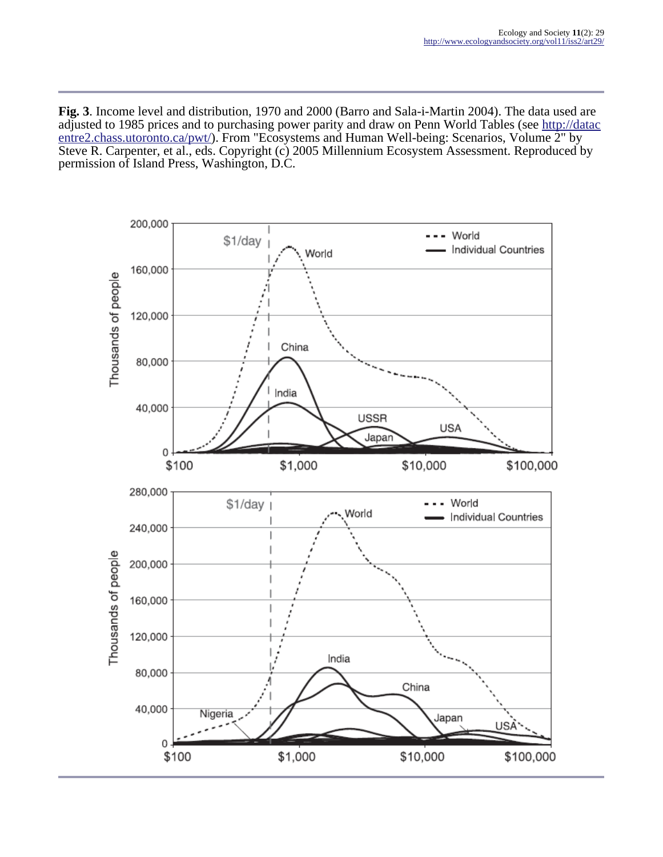**Fig. 3**. Income level and distribution, 1970 and 2000 (Barro and Sala-i-Martin 2004). The data used are adjusted to 1985 prices and to purchasing power parity and draw on Penn World Tables (see [http://datac](http://datacentre2.chass.utoronto.ca/pwt/) [entre2.chass.utoronto.ca/pwt/\)](http://datacentre2.chass.utoronto.ca/pwt/). From "Ecosystems and Human Well-being: Scenarios, Volume 2" by Steve R. Carpenter, et al., eds. Copyright (c) 2005 Millennium Ecosystem Assessment. Reproduced by permission of Island Press, Washington, D.C.

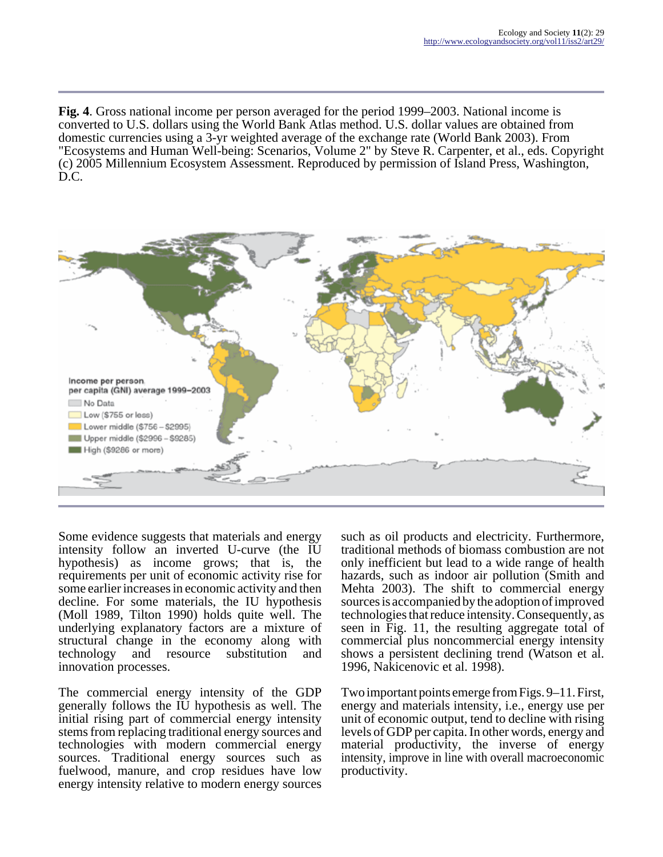**Fig. 4**. Gross national income per person averaged for the period 1999–2003. National income is converted to U.S. dollars using the World Bank Atlas method. U.S. dollar values are obtained from domestic currencies using a 3-yr weighted average of the exchange rate (World Bank 2003). From "Ecosystems and Human Well-being: Scenarios, Volume 2" by Steve R. Carpenter, et al., eds. Copyright (c) 2005 Millennium Ecosystem Assessment. Reproduced by permission of Island Press, Washington, D.C.



Some evidence suggests that materials and energy intensity follow an inverted U-curve (the IU hypothesis) as income grows; that is, the requirements per unit of economic activity rise for some earlier increases in economic activity and then decline. For some materials, the IU hypothesis (Moll 1989, Tilton 1990) holds quite well. The underlying explanatory factors are a mixture of structural change in the economy along with technology and resource substitution and innovation processes.

The commercial energy intensity of the GDP generally follows the IU hypothesis as well. The initial rising part of commercial energy intensity stems from replacing traditional energy sources and technologies with modern commercial energy sources. Traditional energy sources such as fuelwood, manure, and crop residues have low energy intensity relative to modern energy sources

such as oil products and electricity. Furthermore, traditional methods of biomass combustion are not only inefficient but lead to a wide range of health hazards, such as indoor air pollution (Smith and Mehta 2003). The shift to commercial energy sources is accompanied by the adoption of improved technologies that reduce intensity. Consequently, as seen in Fig. 11, the resulting aggregate total of commercial plus noncommercial energy intensity shows a persistent declining trend (Watson et al. 1996, Nakicenovic et al. 1998).

Two important points emerge from Figs. 9–11. First, energy and materials intensity, i.e., energy use per unit of economic output, tend to decline with rising levels of GDP per capita. In other words, energy and material productivity, the inverse of energy intensity, improve in line with overall macroeconomic productivity.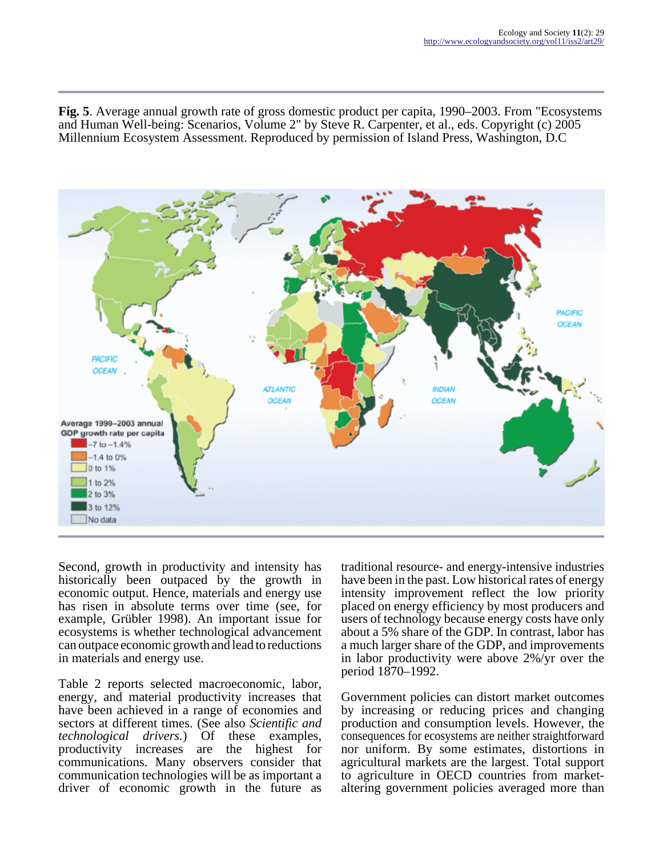**Fig. 5**. Average annual growth rate of gross domestic product per capita, 1990–2003. From "Ecosystems and Human Well-being: Scenarios, Volume 2" by Steve R. Carpenter, et al., eds. Copyright (c) 2005 Millennium Ecosystem Assessment. Reproduced by permission of Island Press, Washington, D.C



Second, growth in productivity and intensity has historically been outpaced by the growth in economic output. Hence, materials and energy use has risen in absolute terms over time (see, for example, Grübler 1998). An important issue for ecosystems is whether technological advancement can outpace economic growth and lead to reductions in materials and energy use.

Table 2 reports selected macroeconomic, labor, energy, and material productivity increases that have been achieved in a range of economies and sectors at different times. (See also *Scientific and technological drivers.*) Of these examples, productivity increases are the highest for communications. Many observers consider that communication technologies will be as important a driver of economic growth in the future as

traditional resource- and energy-intensive industries have been in the past. Low historical rates of energy intensity improvement reflect the low priority placed on energy efficiency by most producers and users of technology because energy costs have only about a 5% share of the GDP. In contrast, labor has a much larger share of the GDP, and improvements in labor productivity were above 2%/yr over the period 1870–1992.

Government policies can distort market outcomes by increasing or reducing prices and changing production and consumption levels. However, the consequences for ecosystems are neither straightforward nor uniform. By some estimates, distortions in agricultural markets are the largest. Total support to agriculture in OECD countries from marketaltering government policies averaged more than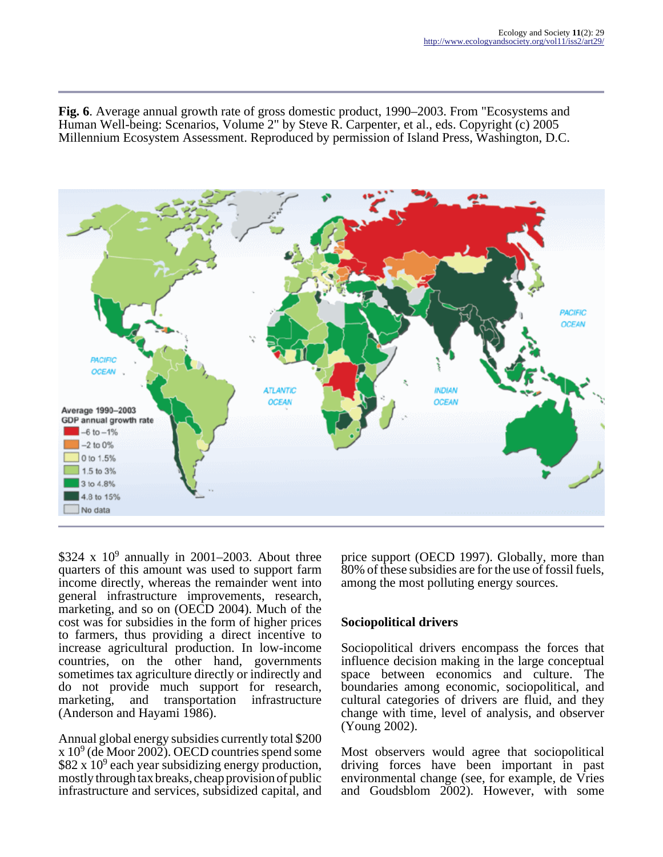**Fig. 6**. Average annual growth rate of gross domestic product, 1990–2003. From "Ecosystems and Human Well-being: Scenarios, Volume 2" by Steve R. Carpenter, et al., eds. Copyright (c) 2005 Millennium Ecosystem Assessment. Reproduced by permission of Island Press, Washington, D.C.



 $$324 \times 10^9$  annually in 2001–2003. About three quarters of this amount was used to support farm income directly, whereas the remainder went into general infrastructure improvements, research, marketing, and so on (OECD 2004). Much of the cost was for subsidies in the form of higher prices to farmers, thus providing a direct incentive to increase agricultural production. In low-income countries, on the other hand, governments sometimes tax agriculture directly or indirectly and do not provide much support for research, marketing, and transportation infrastructure (Anderson and Hayami 1986).

Annual global energy subsidies currently total \$200  $x 10<sup>9</sup>$  (de Moor 2002). OECD countries spend some  $$82 x 10<sup>9</sup>$  each year subsidizing energy production, mostly through tax breaks, cheap provision of public infrastructure and services, subsidized capital, and

price support (OECD 1997). Globally, more than 80% of these subsidies are for the use of fossil fuels, among the most polluting energy sources.

## **Sociopolitical drivers**

Sociopolitical drivers encompass the forces that influence decision making in the large conceptual space between economics and culture. The boundaries among economic, sociopolitical, and cultural categories of drivers are fluid, and they change with time, level of analysis, and observer (Young 2002).

Most observers would agree that sociopolitical driving forces have been important in past environmental change (see, for example, de Vries and Goudsblom 2002). However, with some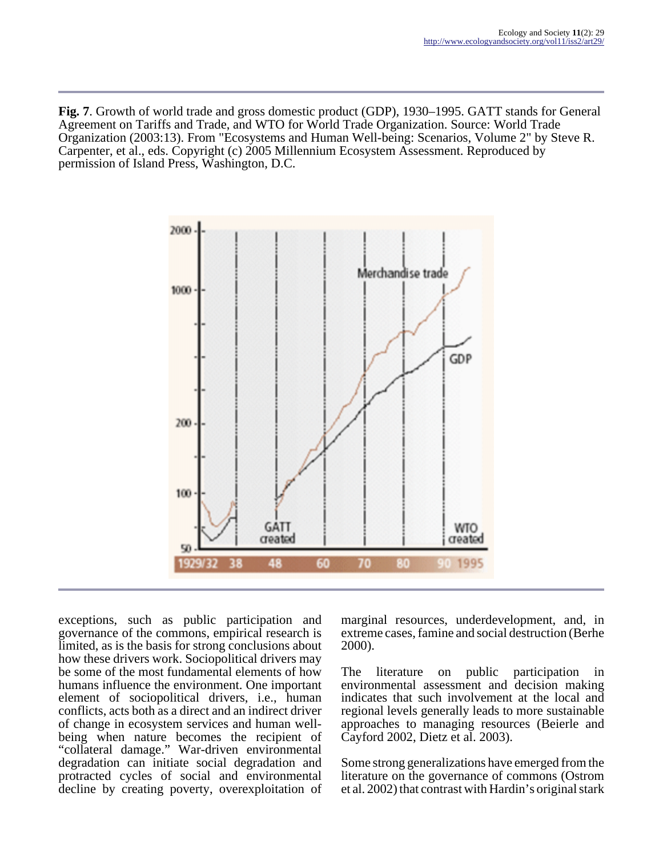**Fig. 7**. Growth of world trade and gross domestic product (GDP), 1930–1995. GATT stands for General Agreement on Tariffs and Trade, and WTO for World Trade Organization. Source: World Trade Organization (2003:13). From "Ecosystems and Human Well-being: Scenarios, Volume 2" by Steve R. Carpenter, et al., eds. Copyright (c) 2005 Millennium Ecosystem Assessment. Reproduced by permission of Island Press, Washington, D.C.



exceptions, such as public participation and governance of the commons, empirical research is limited, as is the basis for strong conclusions about how these drivers work. Sociopolitical drivers may be some of the most fundamental elements of how humans influence the environment. One important element of sociopolitical drivers, i.e., human conflicts, acts both as a direct and an indirect driver of change in ecosystem services and human wellbeing when nature becomes the recipient of "collateral damage." War-driven environmental degradation can initiate social degradation and protracted cycles of social and environmental decline by creating poverty, overexploitation of marginal resources, underdevelopment, and, in extreme cases, famine and social destruction (Berhe 2000).

The literature on public participation in environmental assessment and decision making indicates that such involvement at the local and regional levels generally leads to more sustainable approaches to managing resources (Beierle and Cayford 2002, Dietz et al. 2003).

Some strong generalizations have emerged from the literature on the governance of commons (Ostrom et al. 2002) that contrast with Hardin's original stark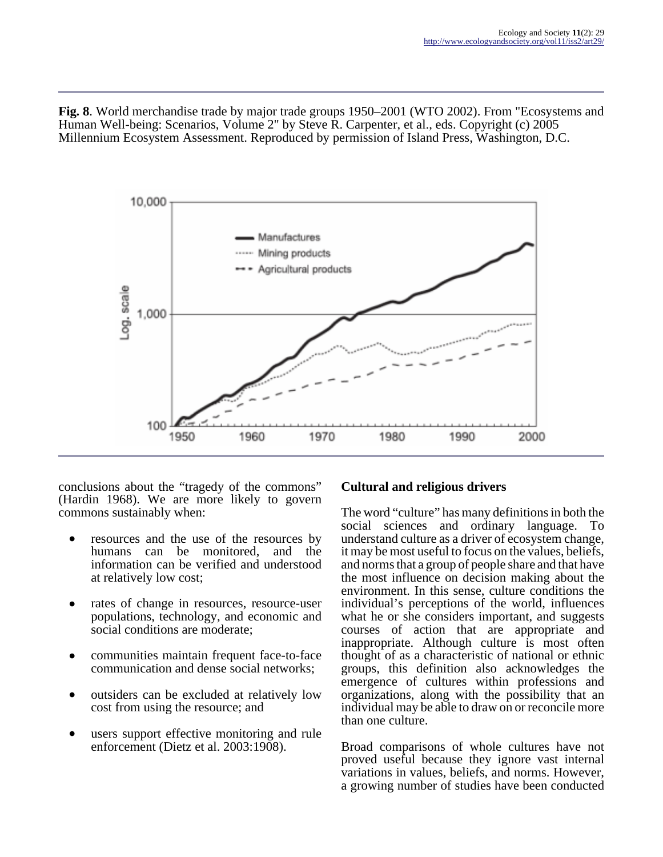**Fig. 8**. World merchandise trade by major trade groups 1950–2001 (WTO 2002). From "Ecosystems and Human Well-being: Scenarios, Volume 2" by Steve R. Carpenter, et al., eds. Copyright (c) 2005 Millennium Ecosystem Assessment. Reproduced by permission of Island Press, Washington, D.C.



conclusions about the "tragedy of the commons" (Hardin 1968). We are more likely to govern commons sustainably when:

- resources and the use of the resources by humans can be monitored, and the information can be verified and understood at relatively low cost;
- rates of change in resources, resource-user populations, technology, and economic and social conditions are moderate;
- communities maintain frequent face-to-face communication and dense social networks;
- outsiders can be excluded at relatively low cost from using the resource; and
- users support effective monitoring and rule enforcement (Dietz et al. 2003:1908).

# **Cultural and religious drivers**

The word "culture" has many definitions in both the social sciences and ordinary language. To understand culture as a driver of ecosystem change, it may be most useful to focus on the values, beliefs, and norms that a group of people share and that have the most influence on decision making about the environment. In this sense, culture conditions the individual's perceptions of the world, influences what he or she considers important, and suggests courses of action that are appropriate and inappropriate. Although culture is most often thought of as a characteristic of national or ethnic groups, this definition also acknowledges the emergence of cultures within professions and organizations, along with the possibility that an individual may be able to draw on or reconcile more than one culture.

Broad comparisons of whole cultures have not proved useful because they ignore vast internal variations in values, beliefs, and norms. However, a growing number of studies have been conducted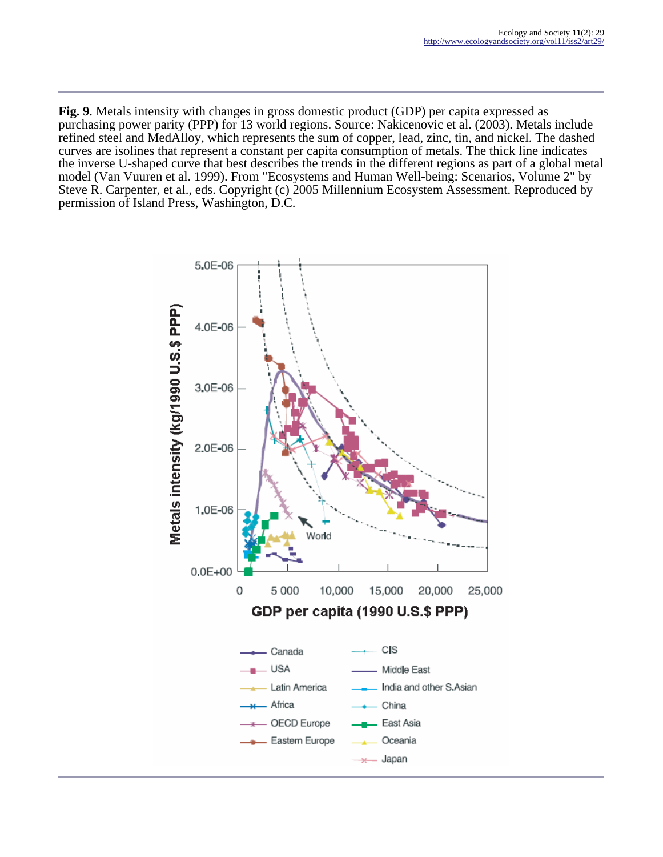**Fig. 9**. Metals intensity with changes in gross domestic product (GDP) per capita expressed as purchasing power parity (PPP) for 13 world regions. Source: Nakicenovic et al. (2003). Metals include refined steel and MedAlloy, which represents the sum of copper, lead, zinc, tin, and nickel. The dashed curves are isolines that represent a constant per capita consumption of metals. The thick line indicates the inverse U-shaped curve that best describes the trends in the different regions as part of a global metal model (Van Vuuren et al. 1999). From "Ecosystems and Human Well-being: Scenarios, Volume 2" by Steve R. Carpenter, et al., eds. Copyright (c) 2005 Millennium Ecosystem Assessment. Reproduced by permission of Island Press, Washington, D.C.

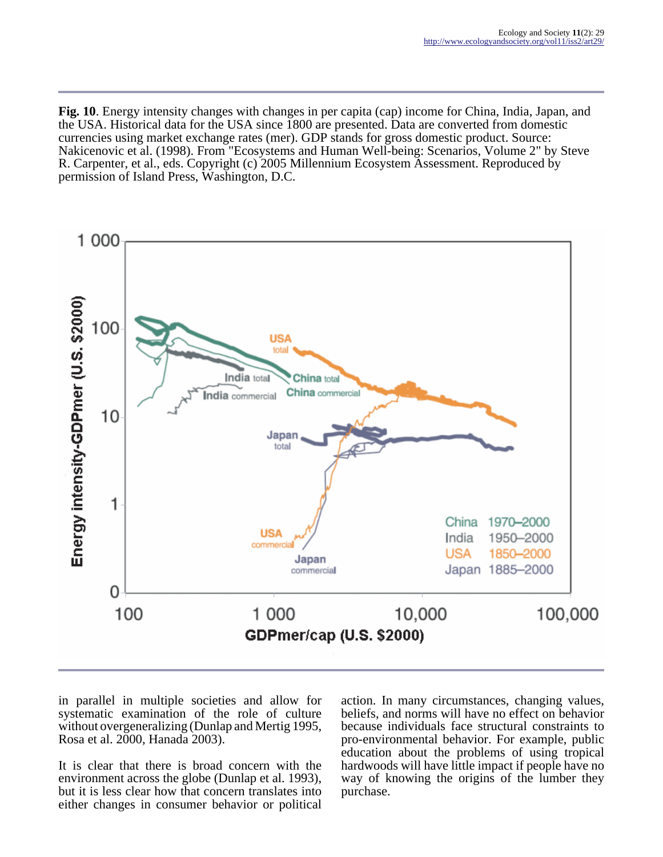**Fig. 10**. Energy intensity changes with changes in per capita (cap) income for China, India, Japan, and the USA. Historical data for the USA since 1800 are presented. Data are converted from domestic currencies using market exchange rates (mer). GDP stands for gross domestic product. Source: Nakicenovic et al. (1998). From "Ecosystems and Human Well-being: Scenarios, Volume 2" by Steve R. Carpenter, et al., eds. Copyright (c) 2005 Millennium Ecosystem Assessment. Reproduced by permission of Island Press, Washington, D.C.



in parallel in multiple societies and allow for systematic examination of the role of culture without overgeneralizing (Dunlap and Mertig 1995, Rosa et al. 2000, Hanada 2003).

It is clear that there is broad concern with the environment across the globe (Dunlap et al. 1993), but it is less clear how that concern translates into either changes in consumer behavior or political

action. In many circumstances, changing values, beliefs, and norms will have no effect on behavior because individuals face structural constraints to pro-environmental behavior. For example, public education about the problems of using tropical hardwoods will have little impact if people have no way of knowing the origins of the lumber they purchase.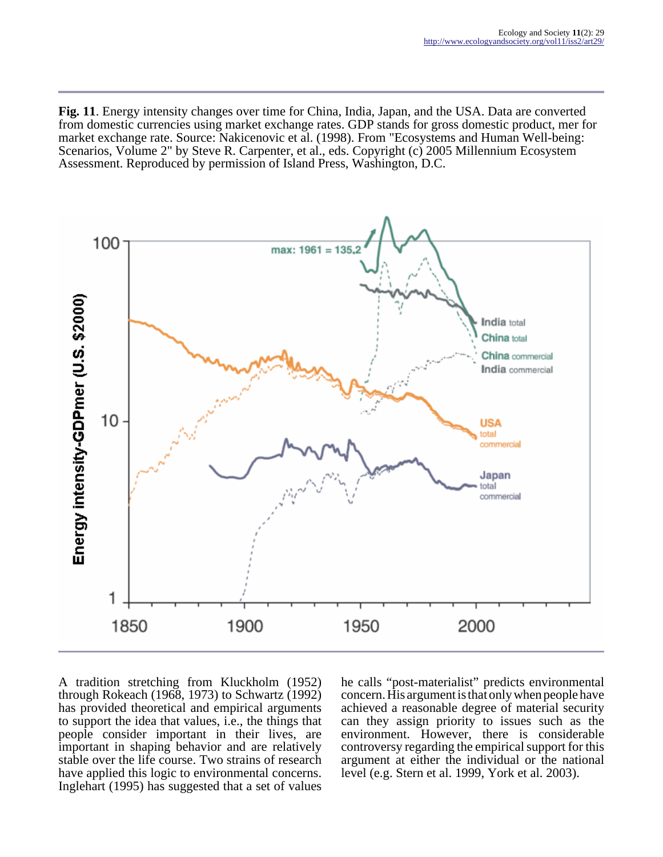**Fig. 11**. Energy intensity changes over time for China, India, Japan, and the USA. Data are converted from domestic currencies using market exchange rates. GDP stands for gross domestic product, mer for market exchange rate. Source: Nakicenovic et al. (1998). From "Ecosystems and Human Well-being: Scenarios, Volume 2" by Steve R. Carpenter, et al., eds. Copyright (c) 2005 Millennium Ecosystem Assessment. Reproduced by permission of Island Press, Washington, D.C.



A tradition stretching from Kluckholm (1952) through Rokeach (1968, 1973) to Schwartz (1992) has provided theoretical and empirical arguments to support the idea that values, i.e., the things that people consider important in their lives, are important in shaping behavior and are relatively stable over the life course. Two strains of research have applied this logic to environmental concerns. Inglehart (1995) has suggested that a set of values

he calls "post-materialist" predicts environmental concern. His argument is that only when people have achieved a reasonable degree of material security can they assign priority to issues such as the environment. However, there is considerable controversy regarding the empirical support for this argument at either the individual or the national level (e.g. Stern et al. 1999, York et al. 2003).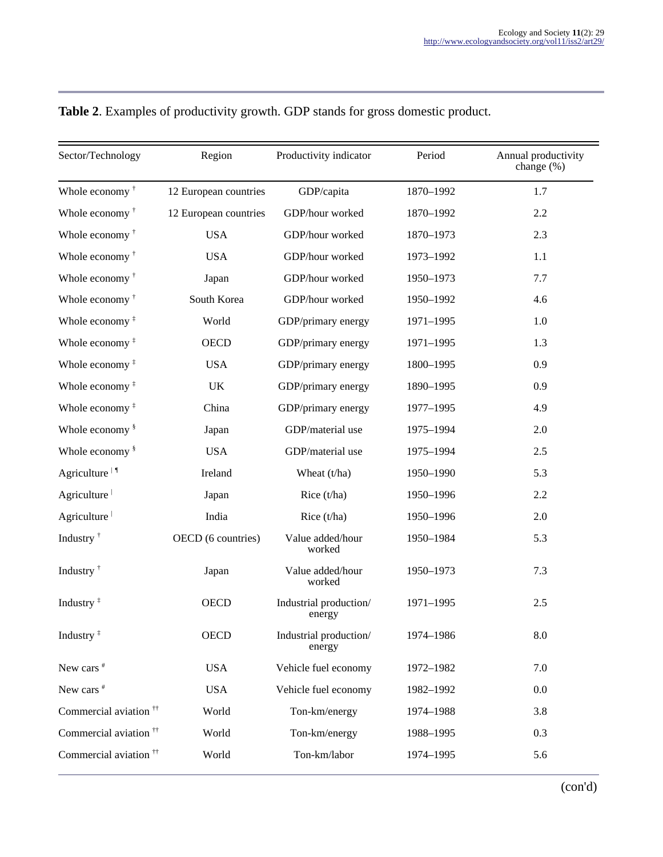| Sector/Technology                               | Region                | Productivity indicator           | Period    | Annual productivity<br>change (%) |
|-------------------------------------------------|-----------------------|----------------------------------|-----------|-----------------------------------|
| Whole economy <sup>†</sup>                      | 12 European countries | GDP/capita                       | 1870-1992 | 1.7                               |
| Whole economy <sup>†</sup>                      | 12 European countries | GDP/hour worked                  | 1870-1992 | 2.2                               |
| Whole economy <sup>†</sup>                      | <b>USA</b>            | GDP/hour worked                  | 1870-1973 | 2.3                               |
| Whole economy <sup>†</sup>                      | <b>USA</b>            | GDP/hour worked                  | 1973-1992 | 1.1                               |
| Whole economy <sup>†</sup>                      | Japan                 | GDP/hour worked                  | 1950-1973 | 7.7                               |
| Whole economy <sup>†</sup>                      | South Korea           | GDP/hour worked                  | 1950-1992 | 4.6                               |
| Whole economy $†$                               | World                 | GDP/primary energy               | 1971-1995 | 1.0                               |
| Whole economy $†$                               | <b>OECD</b>           | GDP/primary energy               | 1971-1995 | 1.3                               |
| Whole economy <sup>#</sup>                      | <b>USA</b>            | GDP/primary energy               | 1800-1995 | 0.9                               |
| Whole economy $†$                               | <b>UK</b>             | GDP/primary energy               | 1890-1995 | 0.9                               |
| Whole economy $†$                               | China                 | GDP/primary energy               | 1977-1995 | 4.9                               |
| Whole economy <sup>§</sup>                      | Japan                 | GDP/material use                 | 1975-1994 | 2.0                               |
| Whole economy <sup>§</sup>                      | <b>USA</b>            | GDP/material use                 | 1975-1994 | 2.5                               |
| Agriculture <sup><math>\vert \, \P</math></sup> | Ireland               | Wheat (t/ha)                     | 1950-1990 | 5.3                               |
| Agriculture                                     | Japan                 | Rice (t/ha)                      | 1950-1996 | 2.2                               |
| Agriculture                                     | India                 | Rice (t/ha)                      | 1950-1996 | 2.0                               |
| Industry <sup>†</sup>                           | OECD (6 countries)    | Value added/hour<br>worked       | 1950-1984 | 5.3                               |
| Industry <sup>†</sup>                           | Japan                 | Value added/hour<br>worked       | 1950-1973 | 7.3                               |
| Industry $†$                                    | <b>OECD</b>           | Industrial production/<br>energy | 1971-1995 | 2.5                               |
| Industry <sup>‡</sup>                           | <b>OECD</b>           | Industrial production/<br>energy | 1974-1986 | $8.0\,$                           |
| New cars <sup>#</sup>                           | <b>USA</b>            | Vehicle fuel economy             | 1972-1982 | 7.0                               |
| New cars <sup>#</sup>                           | <b>USA</b>            | Vehicle fuel economy             | 1982-1992 | 0.0                               |
| Commercial aviation <sup>††</sup>               | World                 | Ton-km/energy                    | 1974-1988 | 3.8                               |
| Commercial aviation <sup>††</sup>               | World                 | Ton-km/energy                    | 1988-1995 | 0.3                               |
| Commercial aviation <sup>††</sup>               | World                 | Ton-km/labor                     | 1974-1995 | 5.6                               |

# **Table 2**. Examples of productivity growth. GDP stands for gross domestic product.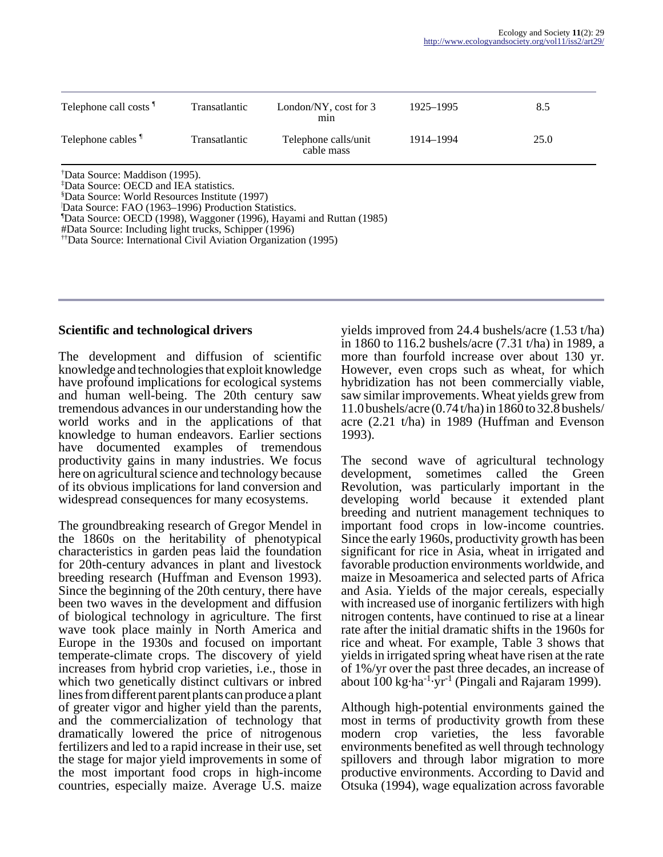| Telephone call costs <sup>1</sup>                                                                                                                                                                         | Transatlantic        | London/NY, cost for 3<br>m <sub>1</sub> n                                        | 1925–1995 | 8.5  |
|-----------------------------------------------------------------------------------------------------------------------------------------------------------------------------------------------------------|----------------------|----------------------------------------------------------------------------------|-----------|------|
| Telephone cables <sup>1</sup>                                                                                                                                                                             | <b>Transatlantic</b> | Telephone calls/unit<br>cable mass                                               | 1914–1994 | 25.0 |
| "Data Source: Maddison (1995).<br><sup>‡</sup> Data Source: OECD and IEA statistics.<br><sup>§</sup> Data Source: World Resources Institute (1997)<br>Data Source: FAO (1963–1996) Production Statistics. |                      | <sup>1</sup> Data Source: OECD (1998), Waggoner (1996), Hayami and Ruttan (1985) |           |      |

#Data Source: Including light trucks, Schipper (1996)

††Data Source: International Civil Aviation Organization (1995)

#### **Scientific and technological drivers**

The development and diffusion of scientific knowledge and technologies that exploit knowledge have profound implications for ecological systems and human well-being. The 20th century saw tremendous advances in our understanding how the world works and in the applications of that knowledge to human endeavors. Earlier sections have documented examples of tremendous productivity gains in many industries. We focus here on agricultural science and technology because of its obvious implications for land conversion and widespread consequences for many ecosystems.

The groundbreaking research of Gregor Mendel in the 1860s on the heritability of phenotypical characteristics in garden peas laid the foundation for 20th-century advances in plant and livestock breeding research (Huffman and Evenson 1993). Since the beginning of the 20th century, there have been two waves in the development and diffusion of biological technology in agriculture. The first wave took place mainly in North America and Europe in the 1930s and focused on important temperate-climate crops. The discovery of yield increases from hybrid crop varieties, i.e., those in which two genetically distinct cultivars or inbred lines from different parent plants can produce a plant of greater vigor and higher yield than the parents, and the commercialization of technology that dramatically lowered the price of nitrogenous fertilizers and led to a rapid increase in their use, set the stage for major yield improvements in some of the most important food crops in high-income countries, especially maize. Average U.S. maize

yields improved from 24.4 bushels/acre (1.53 t/ha) in 1860 to 116.2 bushels/acre (7.31 t/ha) in 1989, a more than fourfold increase over about 130 yr. However, even crops such as wheat, for which hybridization has not been commercially viable, saw similar improvements. Wheat yields grew from 11.0 bushels/acre (0.74 t/ha) in 1860 to 32.8 bushels/ acre (2.21 t/ha) in 1989 (Huffman and Evenson 1993).

The second wave of agricultural technology development, sometimes called the Green Revolution, was particularly important in the developing world because it extended plant breeding and nutrient management techniques to important food crops in low-income countries. Since the early 1960s, productivity growth has been significant for rice in Asia, wheat in irrigated and favorable production environments worldwide, and maize in Mesoamerica and selected parts of Africa and Asia. Yields of the major cereals, especially with increased use of inorganic fertilizers with high nitrogen contents, have continued to rise at a linear rate after the initial dramatic shifts in the 1960s for rice and wheat. For example, Table 3 shows that yields in irrigated spring wheat have risen at the rate of 1%/yr over the past three decades, an increase of about 100 kg $\cdot$ ha<sup>-1</sup>·yr<sup>-1</sup> (Pingali and Rajaram 1999).

Although high-potential environments gained the most in terms of productivity growth from these modern crop varieties, the less favorable environments benefited as well through technology spillovers and through labor migration to more productive environments. According to David and Otsuka (1994), wage equalization across favorable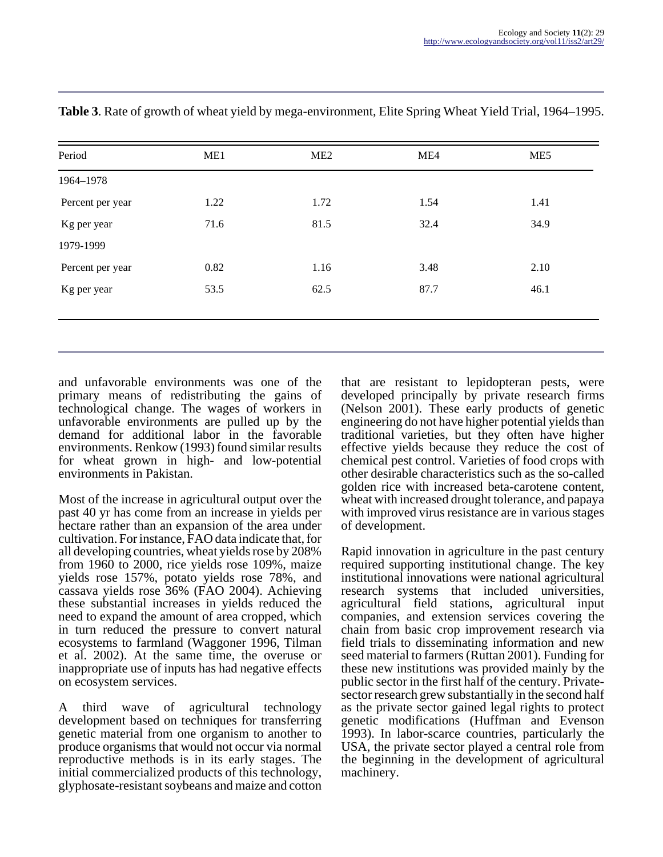| Period           | ME1  | ME <sub>2</sub> | ME4  | ME5  |
|------------------|------|-----------------|------|------|
| 1964-1978        |      |                 |      |      |
| Percent per year | 1.22 | 1.72            | 1.54 | 1.41 |
| Kg per year      | 71.6 | 81.5            | 32.4 | 34.9 |
| 1979-1999        |      |                 |      |      |
| Percent per year | 0.82 | 1.16            | 3.48 | 2.10 |
| Kg per year      | 53.5 | 62.5            | 87.7 | 46.1 |

**Table 3**. Rate of growth of wheat yield by mega-environment, Elite Spring Wheat Yield Trial, 1964–1995.

and unfavorable environments was one of the primary means of redistributing the gains of technological change. The wages of workers in unfavorable environments are pulled up by the demand for additional labor in the favorable environments. Renkow (1993) found similar results for wheat grown in high- and low-potential environments in Pakistan.

Most of the increase in agricultural output over the past 40 yr has come from an increase in yields per hectare rather than an expansion of the area under cultivation. For instance, FAO data indicate that, for all developing countries, wheat yields rose by 208% from 1960 to 2000, rice yields rose 109%, maize yields rose 157%, potato yields rose 78%, and cassava yields rose 36% (FAO 2004). Achieving these substantial increases in yields reduced the need to expand the amount of area cropped, which in turn reduced the pressure to convert natural ecosystems to farmland (Waggoner 1996, Tilman et al. 2002). At the same time, the overuse or inappropriate use of inputs has had negative effects on ecosystem services.

A third wave of agricultural technology development based on techniques for transferring genetic material from one organism to another to produce organisms that would not occur via normal reproductive methods is in its early stages. The initial commercialized products of this technology, glyphosate-resistant soybeans and maize and cotton

that are resistant to lepidopteran pests, were developed principally by private research firms (Nelson 2001). These early products of genetic engineering do not have higher potential yields than traditional varieties, but they often have higher effective yields because they reduce the cost of chemical pest control. Varieties of food crops with other desirable characteristics such as the so-called golden rice with increased beta-carotene content, wheat with increased drought tolerance, and papaya with improved virus resistance are in various stages of development.

Rapid innovation in agriculture in the past century required supporting institutional change. The key institutional innovations were national agricultural research systems that included universities, agricultural field stations, agricultural input companies, and extension services covering the chain from basic crop improvement research via field trials to disseminating information and new seed material to farmers (Ruttan 2001). Funding for these new institutions was provided mainly by the public sector in the first half of the century. Privatesector research grew substantially in the second half as the private sector gained legal rights to protect genetic modifications (Huffman and Evenson 1993). In labor-scarce countries, particularly the USA, the private sector played a central role from the beginning in the development of agricultural machinery.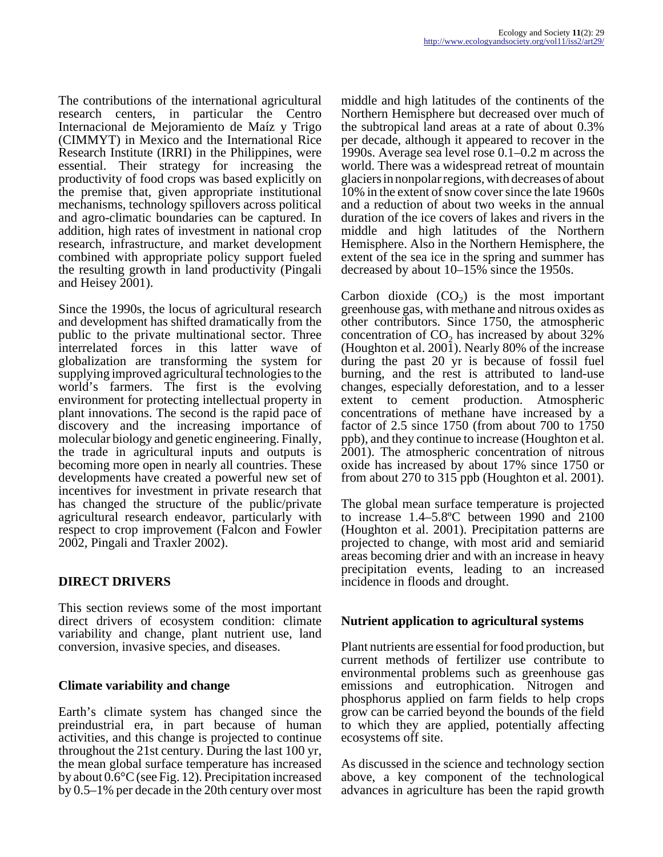The contributions of the international agricultural research centers, in particular the Centro Internacional de Mejoramiento de Maíz y Trigo (CIMMYT) in Mexico and the International Rice Research Institute (IRRI) in the Philippines, were essential. Their strategy for increasing the productivity of food crops was based explicitly on the premise that, given appropriate institutional mechanisms, technology spillovers across political and agro-climatic boundaries can be captured. In addition, high rates of investment in national crop research, infrastructure, and market development combined with appropriate policy support fueled the resulting growth in land productivity (Pingali and Heisey 2001).

Since the 1990s, the locus of agricultural research and development has shifted dramatically from the public to the private multinational sector. Three interrelated forces in this latter wave of globalization are transforming the system for supplying improved agricultural technologies to the world's farmers. The first is the evolving environment for protecting intellectual property in plant innovations. The second is the rapid pace of discovery and the increasing importance of molecular biology and genetic engineering. Finally, the trade in agricultural inputs and outputs is becoming more open in nearly all countries. These developments have created a powerful new set of incentives for investment in private research that has changed the structure of the public/private agricultural research endeavor, particularly with respect to crop improvement (Falcon and Fowler 2002, Pingali and Traxler 2002).

# **DIRECT DRIVERS**

This section reviews some of the most important direct drivers of ecosystem condition: climate variability and change, plant nutrient use, land conversion, invasive species, and diseases.

# **Climate variability and change**

Earth's climate system has changed since the preindustrial era, in part because of human activities, and this change is projected to continue throughout the 21st century. During the last 100 yr, the mean global surface temperature has increased by about 0.6°C (see Fig. 12). Precipitation increased by 0.5–1% per decade in the 20th century over most

middle and high latitudes of the continents of the Northern Hemisphere but decreased over much of the subtropical land areas at a rate of about 0.3% per decade, although it appeared to recover in the 1990s. Average sea level rose 0.1–0.2 m across the world. There was a widespread retreat of mountain glaciers in nonpolar regions, with decreases of about 10% in the extent of snow cover since the late 1960s and a reduction of about two weeks in the annual duration of the ice covers of lakes and rivers in the middle and high latitudes of the Northern Hemisphere. Also in the Northern Hemisphere, the extent of the sea ice in the spring and summer has decreased by about 10–15% since the 1950s.

Carbon dioxide  $(CO_2)$  is the most important greenhouse gas, with methane and nitrous oxides as other contributors. Since 1750, the atmospheric concentration of  $CO<sub>2</sub>$  has increased by about 32% (Houghton et al. 2001). Nearly 80% of the increase during the past 20 yr is because of fossil fuel burning, and the rest is attributed to land-use changes, especially deforestation, and to a lesser extent to cement production. Atmospheric concentrations of methane have increased by a factor of 2.5 since 1750 (from about 700 to 1750 ppb), and they continue to increase (Houghton et al. 2001). The atmospheric concentration of nitrous oxide has increased by about 17% since 1750 or from about 270 to 315 ppb (Houghton et al. 2001).

The global mean surface temperature is projected to increase 1.4–5.8ºC between 1990 and 2100 (Houghton et al. 2001). Precipitation patterns are projected to change, with most arid and semiarid areas becoming drier and with an increase in heavy precipitation events, leading to an increased incidence in floods and drought.

# **Nutrient application to agricultural systems**

Plant nutrients are essential for food production, but current methods of fertilizer use contribute to environmental problems such as greenhouse gas emissions and eutrophication. Nitrogen and phosphorus applied on farm fields to help crops grow can be carried beyond the bounds of the field to which they are applied, potentially affecting ecosystems off site.

As discussed in the science and technology section above, a key component of the technological advances in agriculture has been the rapid growth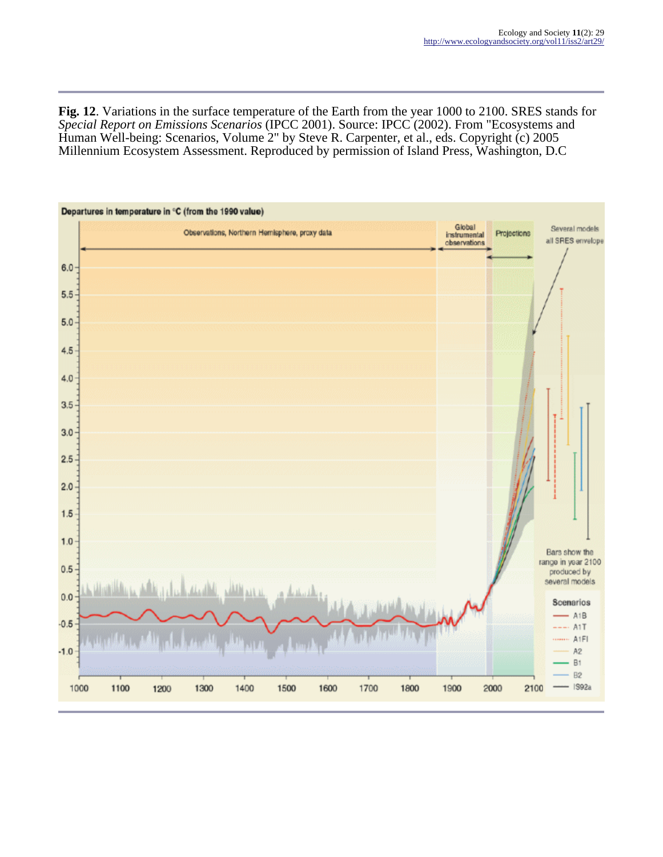**Fig. 12**. Variations in the surface temperature of the Earth from the year 1000 to 2100. SRES stands for *Special Report on Emissions Scenarios* (IPCC 2001). Source: IPCC (2002). From "Ecosystems and Human Well-being: Scenarios, Volume 2" by Steve R. Carpenter, et al., eds. Copyright (c) 2005 Millennium Ecosystem Assessment. Reproduced by permission of Island Press, Washington, D.C

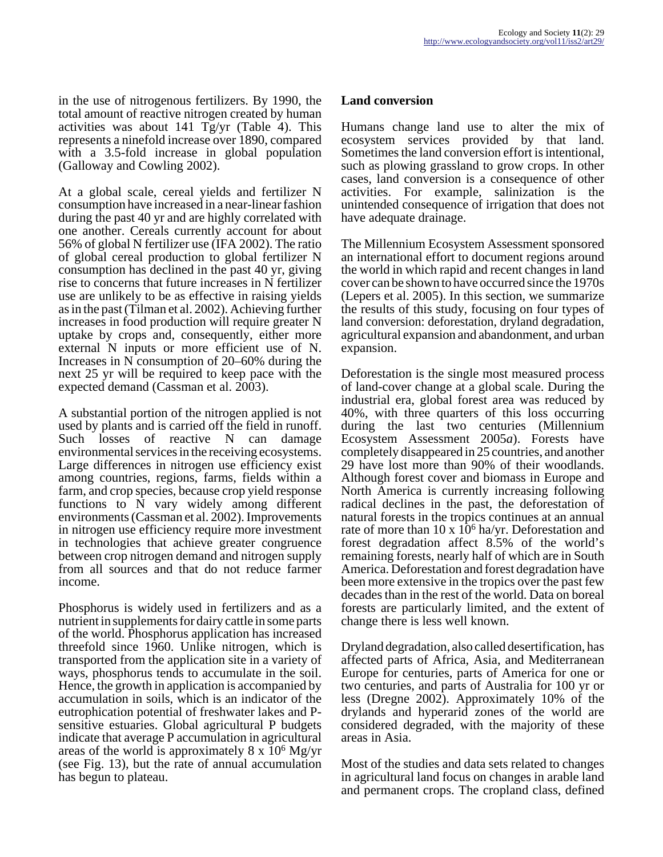in the use of nitrogenous fertilizers. By 1990, the total amount of reactive nitrogen created by human activities was about 141 Tg/yr (Table 4). This represents a ninefold increase over 1890, compared with a 3.5-fold increase in global population (Galloway and Cowling 2002).

At a global scale, cereal yields and fertilizer N consumption have increased in a near-linear fashion during the past 40 yr and are highly correlated with one another. Cereals currently account for about 56% of global N fertilizer use (IFA 2002). The ratio of global cereal production to global fertilizer N consumption has declined in the past 40 yr, giving rise to concerns that future increases in N fertilizer use are unlikely to be as effective in raising yields as in the past (Tilman et al. 2002). Achieving further increases in food production will require greater N uptake by crops and, consequently, either more external N inputs or more efficient use of N. Increases in N consumption of 20–60% during the next 25 yr will be required to keep pace with the expected demand (Cassman et al. 2003).

A substantial portion of the nitrogen applied is not used by plants and is carried off the field in runoff. Such losses of reactive N can damage environmental services in the receiving ecosystems. Large differences in nitrogen use efficiency exist among countries, regions, farms, fields within a farm, and crop species, because crop yield response functions to N vary widely among different environments (Cassman et al. 2002). Improvements in nitrogen use efficiency require more investment in technologies that achieve greater congruence between crop nitrogen demand and nitrogen supply from all sources and that do not reduce farmer income.

Phosphorus is widely used in fertilizers and as a nutrient in supplements for dairy cattle in some parts of the world. Phosphorus application has increased threefold since 1960. Unlike nitrogen, which is transported from the application site in a variety of ways, phosphorus tends to accumulate in the soil. Hence, the growth in application is accompanied by accumulation in soils, which is an indicator of the eutrophication potential of freshwater lakes and Psensitive estuaries. Global agricultural P budgets indicate that average P accumulation in agricultural areas of the world is approximately  $8 \times 10^6$  Mg/yr (see Fig. 13), but the rate of annual accumulation has begun to plateau.

## **Land conversion**

Humans change land use to alter the mix of ecosystem services provided by that land. Sometimes the land conversion effort is intentional, such as plowing grassland to grow crops. In other cases, land conversion is a consequence of other activities. For example, salinization is the unintended consequence of irrigation that does not have adequate drainage.

The Millennium Ecosystem Assessment sponsored an international effort to document regions around the world in which rapid and recent changes in land cover can be shown to have occurred since the 1970s (Lepers et al. 2005). In this section, we summarize the results of this study, focusing on four types of land conversion: deforestation, dryland degradation, agricultural expansion and abandonment, and urban expansion.

Deforestation is the single most measured process of land-cover change at a global scale. During the industrial era, global forest area was reduced by 40%, with three quarters of this loss occurring during the last two centuries (Millennium Ecosystem Assessment 2005*a*). Forests have completely disappeared in 25 countries, and another 29 have lost more than 90% of their woodlands. Although forest cover and biomass in Europe and North America is currently increasing following radical declines in the past, the deforestation of natural forests in the tropics continues at an annual rate of more than  $10 \times 10^6$  ha/yr. Deforestation and forest degradation affect 8.5% of the world's remaining forests, nearly half of which are in South America. Deforestation and forest degradation have been more extensive in the tropics over the past few decades than in the rest of the world. Data on boreal forests are particularly limited, and the extent of change there is less well known.

Dryland degradation, also called desertification, has affected parts of Africa, Asia, and Mediterranean Europe for centuries, parts of America for one or two centuries, and parts of Australia for 100 yr or less (Dregne 2002). Approximately 10% of the drylands and hyperarid zones of the world are considered degraded, with the majority of these areas in Asia.

Most of the studies and data sets related to changes in agricultural land focus on changes in arable land and permanent crops. The cropland class, defined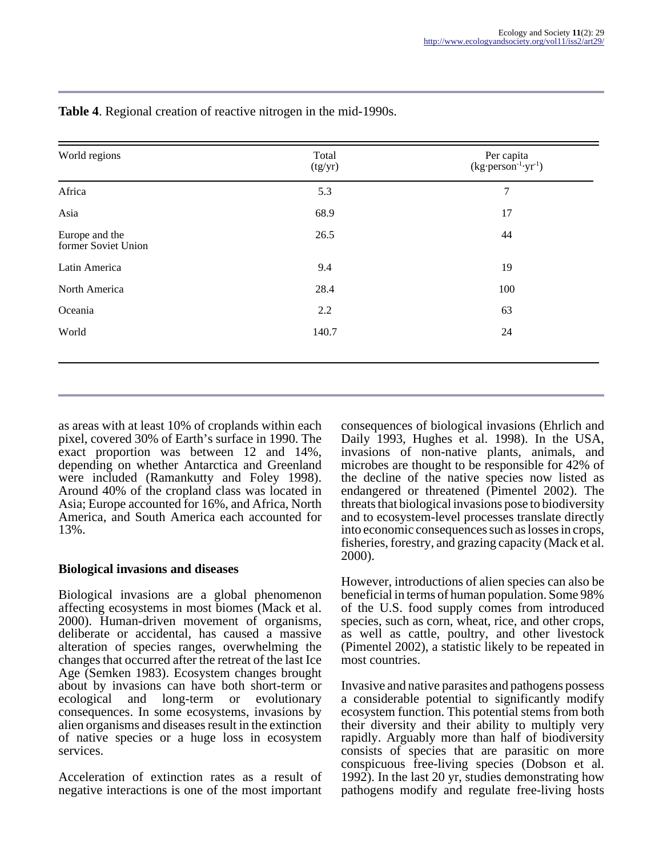| World regions                         | Total<br>(tg/yr) | Per capita<br>(kg·person <sup>-1</sup> ·yr <sup>-1</sup> ) |
|---------------------------------------|------------------|------------------------------------------------------------|
| Africa                                | 5.3              | 7                                                          |
| Asia                                  | 68.9             | 17                                                         |
| Europe and the<br>former Soviet Union | 26.5             | 44                                                         |
| Latin America                         | 9.4              | 19                                                         |
| North America                         | 28.4             | 100                                                        |
| Oceania                               | 2.2              | 63                                                         |
| World                                 | 140.7            | 24                                                         |

**Table 4**. Regional creation of reactive nitrogen in the mid-1990s.

as areas with at least 10% of croplands within each pixel, covered 30% of Earth's surface in 1990. The exact proportion was between 12 and 14%, depending on whether Antarctica and Greenland were included (Ramankutty and Foley 1998). Around 40% of the cropland class was located in Asia; Europe accounted for 16%, and Africa, North America, and South America each accounted for 13%.

## **Biological invasions and diseases**

Biological invasions are a global phenomenon affecting ecosystems in most biomes (Mack et al. 2000). Human-driven movement of organisms, deliberate or accidental, has caused a massive alteration of species ranges, overwhelming the changes that occurred after the retreat of the last Ice Age (Semken 1983). Ecosystem changes brought about by invasions can have both short-term or ecological and long-term or evolutionary consequences. In some ecosystems, invasions by alien organisms and diseases result in the extinction of native species or a huge loss in ecosystem services.

Acceleration of extinction rates as a result of negative interactions is one of the most important consequences of biological invasions (Ehrlich and Daily 1993, Hughes et al. 1998). In the USA, invasions of non-native plants, animals, and microbes are thought to be responsible for 42% of the decline of the native species now listed as endangered or threatened (Pimentel 2002). The threats that biological invasions pose to biodiversity and to ecosystem-level processes translate directly into economic consequences such as losses in crops, fisheries, forestry, and grazing capacity (Mack et al. 2000).

However, introductions of alien species can also be beneficial in terms of human population. Some 98% of the U.S. food supply comes from introduced species, such as corn, wheat, rice, and other crops, as well as cattle, poultry, and other livestock (Pimentel 2002), a statistic likely to be repeated in most countries.

Invasive and native parasites and pathogens possess a considerable potential to significantly modify ecosystem function. This potential stems from both their diversity and their ability to multiply very rapidly. Arguably more than half of biodiversity consists of species that are parasitic on more conspicuous free-living species (Dobson et al. 1992). In the last 20 yr, studies demonstrating how pathogens modify and regulate free-living hosts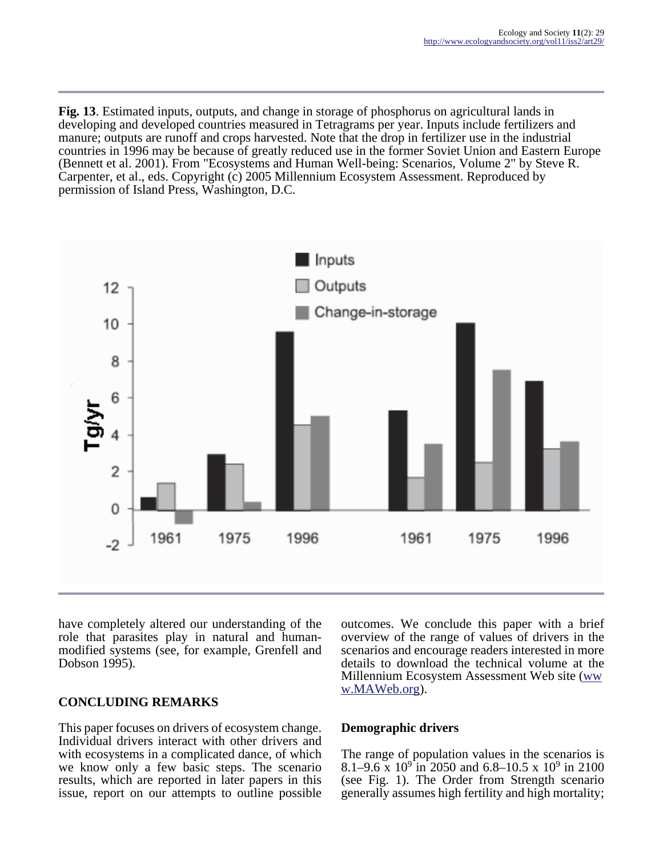**Fig. 13**. Estimated inputs, outputs, and change in storage of phosphorus on agricultural lands in developing and developed countries measured in Tetragrams per year. Inputs include fertilizers and manure; outputs are runoff and crops harvested. Note that the drop in fertilizer use in the industrial countries in 1996 may be because of greatly reduced use in the former Soviet Union and Eastern Europe (Bennett et al. 2001). From "Ecosystems and Human Well-being: Scenarios, Volume 2" by Steve R. Carpenter, et al., eds. Copyright (c) 2005 Millennium Ecosystem Assessment. Reproduced by permission of Island Press, Washington, D.C.



have completely altered our understanding of the role that parasites play in natural and humanmodified systems (see, for example, Grenfell and Dobson 1995).

# **CONCLUDING REMARKS**

This paper focuses on drivers of ecosystem change. Individual drivers interact with other drivers and with ecosystems in a complicated dance, of which we know only a few basic steps. The scenario results, which are reported in later papers in this issue, report on our attempts to outline possible

outcomes. We conclude this paper with a brief overview of the range of values of drivers in the scenarios and encourage readers interested in more details to download the technical volume at the Millennium Ecosystem Assessment Web site ([ww](http://www.MAWeb.org) [w.MAWeb.org\)](http://www.MAWeb.org).

## **Demographic drivers**

The range of population values in the scenarios is 8.1–9.6 x  $10^9$  in 2050 and 6.8–10.5 x  $10^9$  in 2100 (see Fig. 1). The Order from Strength scenario generally assumes high fertility and high mortality;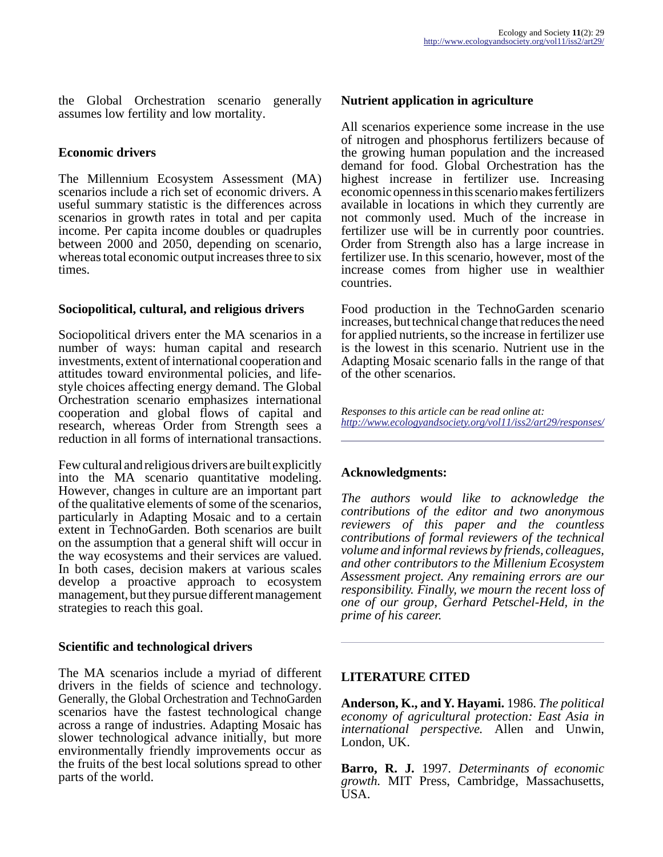the Global Orchestration scenario generally assumes low fertility and low mortality.

## **Economic drivers**

The Millennium Ecosystem Assessment (MA) scenarios include a rich set of economic drivers. A useful summary statistic is the differences across scenarios in growth rates in total and per capita income. Per capita income doubles or quadruples between 2000 and 2050, depending on scenario, whereas total economic output increases three to six times.

#### **Sociopolitical, cultural, and religious drivers**

Sociopolitical drivers enter the MA scenarios in a number of ways: human capital and research investments, extent of international cooperation and attitudes toward environmental policies, and lifestyle choices affecting energy demand. The Global Orchestration scenario emphasizes international cooperation and global flows of capital and research, whereas Order from Strength sees a reduction in all forms of international transactions.

Few cultural and religious drivers are built explicitly into the MA scenario quantitative modeling. However, changes in culture are an important part of the qualitative elements of some of the scenarios, particularly in Adapting Mosaic and to a certain extent in TechnoGarden. Both scenarios are built on the assumption that a general shift will occur in the way ecosystems and their services are valued. In both cases, decision makers at various scales develop a proactive approach to ecosystem management, but they pursue different management strategies to reach this goal.

## **Scientific and technological drivers**

The MA scenarios include a myriad of different drivers in the fields of science and technology. Generally, the Global Orchestration and TechnoGarden scenarios have the fastest technological change across a range of industries. Adapting Mosaic has slower technological advance initially, but more environmentally friendly improvements occur as the fruits of the best local solutions spread to other parts of the world.

## **Nutrient application in agriculture**

All scenarios experience some increase in the use of nitrogen and phosphorus fertilizers because of the growing human population and the increased demand for food. Global Orchestration has the highest increase in fertilizer use. Increasing economic openness in this scenario makes fertilizers available in locations in which they currently are not commonly used. Much of the increase in fertilizer use will be in currently poor countries. Order from Strength also has a large increase in fertilizer use. In this scenario, however, most of the increase comes from higher use in wealthier countries.

Food production in the TechnoGarden scenario increases, but technical change that reduces the need for applied nutrients, so the increase in fertilizer use is the lowest in this scenario. Nutrient use in the Adapting Mosaic scenario falls in the range of that of the other scenarios.

*Responses to this article can be read online at: <http://www.ecologyandsociety.org/vol11/iss2/art29/responses/>*

## **Acknowledgments:**

*The authors would like to acknowledge the contributions of the editor and two anonymous reviewers of this paper and the countless contributions of formal reviewers of the technical volume and informal reviews by friends, colleagues, and other contributors to the Millenium Ecosystem Assessment project. Any remaining errors are our responsibility. Finally, we mourn the recent loss of one of our group, Gerhard Petschel-Held, in the prime of his career.*

## **LITERATURE CITED**

**Anderson, K., and Y. Hayami.** 1986. *The political economy of agricultural protection: East Asia in international perspective.* Allen and Unwin, London, UK.

**Barro, R. J.** 1997. *Determinants of economic growth.* MIT Press, Cambridge, Massachusetts, USA.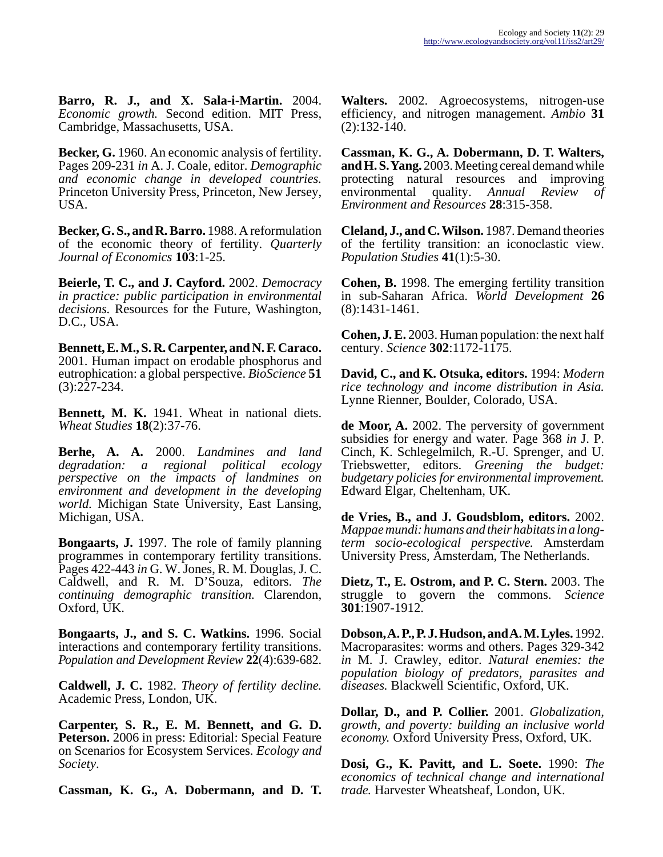**Barro, R. J., and X. Sala-i-Martin.** 2004. *Economic growth.* Second edition. MIT Press, Cambridge, Massachusetts, USA.

**Becker, G.** 1960. An economic analysis of fertility. Pages 209-231 *in* A. J. Coale, editor. *Demographic and economic change in developed countries.* Princeton University Press, Princeton, New Jersey, USA.

**Becker, G. S., and R. Barro.** 1988. A reformulation of the economic theory of fertility. *Quarterly Journal of Economics* **103**:1-25.

**Beierle, T. C., and J. Cayford.** 2002. *Democracy in practice: public participation in environmental decisions.* Resources for the Future, Washington, D.C., USA.

**Bennett, E. M., S. R. Carpenter, and N. F. Caraco.** 2001. Human impact on erodable phosphorus and eutrophication: a global perspective. *BioScience* **51** (3):227-234.

**Bennett, M. K.** 1941. Wheat in national diets. *Wheat Studies* **18**(2):37-76.

**Berhe, A. A.** 2000. *Landmines and land degradation: a regional political ecology perspective on the impacts of landmines on environment and development in the developing world.* Michigan State University, East Lansing, Michigan, USA.

**Bongaarts, J.** 1997. The role of family planning programmes in contemporary fertility transitions. Pages 422-443 *in* G. W. Jones, R. M. Douglas, J. C. Caldwell, and R. M. D'Souza, editors. *The continuing demographic transition.* Clarendon, Oxford, UK.

**Bongaarts, J., and S. C. Watkins.** 1996. Social interactions and contemporary fertility transitions. *Population and Development Review* **22**(4):639-682.

**Caldwell, J. C.** 1982. *Theory of fertility decline.* Academic Press, London, UK.

**Carpenter, S. R., E. M. Bennett, and G. D. Peterson.** 2006 in press: Editorial: Special Feature on Scenarios for Ecosystem Services. *Ecology and Society*.

**Cassman, K. G., A. Dobermann, and D. T.**

**Walters.** 2002. Agroecosystems, nitrogen-use efficiency, and nitrogen management. *Ambio* **31** (2):132-140.

**Cassman, K. G., A. Dobermann, D. T. Walters, and H. S. Yang.** 2003. Meeting cereal demand while protecting natural resources and improving environmental quality. *Annual Review of Environment and Resources* **28**:315-358.

**Cleland, J., and C. Wilson.** 1987. Demand theories of the fertility transition: an iconoclastic view. *Population Studies* **41**(1):5-30.

**Cohen, B.** 1998. The emerging fertility transition in sub-Saharan Africa. *World Development* **26** (8):1431-1461.

**Cohen, J. E.** 2003. Human population: the next half century. *Science* **302**:1172-1175.

**David, C., and K. Otsuka, editors.** 1994: *Modern rice technology and income distribution in Asia.* Lynne Rienner, Boulder, Colorado, USA.

**de Moor, A.** 2002. The perversity of government subsidies for energy and water. Page 368 *in* J. P. Cinch, K. Schlegelmilch, R.-U. Sprenger, and U. Triebswetter, editors. *Greening the budget: budgetary policies for environmental improvement.* Edward Elgar, Cheltenham, UK.

**de Vries, B., and J. Goudsblom, editors.** 2002. *Mappae mundi: humans and their habitats in a longterm socio-ecological perspective.* Amsterdam University Press, Amsterdam, The Netherlands.

**Dietz, T., E. Ostrom, and P. C. Stern.** 2003. The struggle to govern the commons. *Science* **301**:1907-1912.

**Dobson, A. P., P. J. Hudson, and A. M. Lyles.** 1992. Macroparasites: worms and others. Pages 329-342 *in* M. J. Crawley, editor. *Natural enemies: the population biology of predators, parasites and diseases.* Blackwell Scientific, Oxford, UK.

**Dollar, D., and P. Collier.** 2001. *Globalization, growth, and poverty: building an inclusive world economy.* Oxford University Press, Oxford, UK.

**Dosi, G., K. Pavitt, and L. Soete.** 1990: *The economics of technical change and international trade.* Harvester Wheatsheaf, London, UK.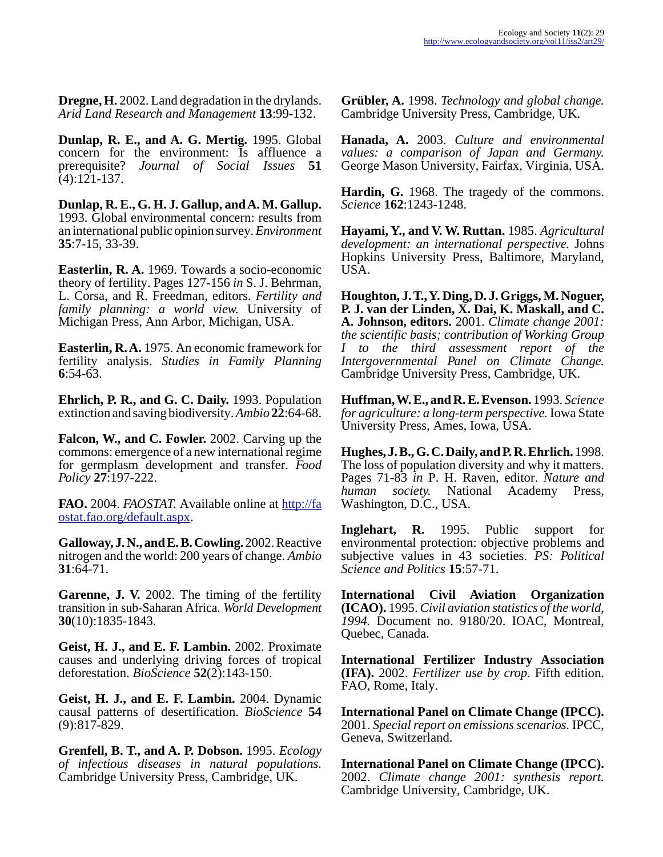**Dregne, H.** 2002. Land degradation in the drylands. *Arid Land Research and Management* **13**:99-132.

**Dunlap, R. E., and A. G. Mertig.** 1995. Global concern for the environment: Is affluence a prerequisite? *Journal of Social Issues* **51**  $(4):121-137.$ 

**Dunlap, R. E., G. H. J. Gallup, and A. M. Gallup.** 1993. Global environmental concern: results from an international public opinion survey. *Environment* **35**:7-15, 33-39.

**Easterlin, R. A.** 1969. Towards a socio-economic theory of fertility. Pages 127-156 *in* S. J. Behrman, L. Corsa, and R. Freedman, editors. *Fertility and family planning: a world view.* University of Michigan Press, Ann Arbor, Michigan, USA.

**Easterlin, R. A.** 1975. An economic framework for fertility analysis. *Studies in Family Planning* **6**:54-63.

**Ehrlich, P. R., and G. C. Daily.** 1993. Population extinction and saving biodiversity. *Ambio* **22**:64-68.

**Falcon, W., and C. Fowler.** 2002. Carving up the commons: emergence of a new international regime for germplasm development and transfer. *Food Policy* **27**:197-222.

**FAO.** 2004. *FAOSTAT.* Available online at [http://fa](http://faostat.fao.org/default.aspx) [ostat.fao.org/default.aspx.](http://faostat.fao.org/default.aspx)

**Galloway, J. N., and E. B. Cowling.** 2002. Reactive nitrogen and the world: 200 years of change. *Ambio* **31**:64-71.

**Garenne, J. V.** 2002. The timing of the fertility transition in sub-Saharan Africa. *World Development* **30**(10):1835-1843.

**Geist, H. J., and E. F. Lambin.** 2002. Proximate causes and underlying driving forces of tropical deforestation. *BioScience* **52**(2):143-150.

**Geist, H. J., and E. F. Lambin.** 2004. Dynamic causal patterns of desertification. *BioScience* **54** (9):817-829.

**Grenfell, B. T., and A. P. Dobson.** 1995. *Ecology of infectious diseases in natural populations.* Cambridge University Press, Cambridge, UK.

**Grübler, A.** 1998. *Technology and global change.* Cambridge University Press, Cambridge, UK.

**Hanada, A.** 2003. *Culture and environmental values: a comparison of Japan and Germany.* George Mason University, Fairfax, Virginia, USA.

**Hardin, G.** 1968. The tragedy of the commons. *Science* **162**:1243-1248.

**Hayami, Y., and V. W. Ruttan.** 1985. *Agricultural development: an international perspective.* Johns Hopkins University Press, Baltimore, Maryland, USA.

**Houghton, J. T., Y. Ding, D. J. Griggs, M. Noguer, P. J. van der Linden, X. Dai, K. Maskall, and C. A. Johnson, editors.** 2001. *Climate change 2001: the scientific basis; contribution of Working Group I to the third assessment report of the Intergovernmental Panel on Climate Change.* Cambridge University Press, Cambridge, UK.

**Huffman, W. E., and R. E. Evenson.** 1993. *Science for agriculture: a long-term perspective.* Iowa State University Press, Ames, Iowa, USA.

**Hughes, J. B., G. C. Daily, and P. R. Ehrlich.** 1998. The loss of population diversity and why it matters. Pages 71-83 *in* P. H. Raven, editor. *Nature and human society.* National Academy Press, Washington, D.C., USA.

**Inglehart, R.** 1995. Public support for environmental protection: objective problems and subjective values in 43 societies. *PS: Political Science and Politics* **15**:57-71.

**International Civil Aviation Organization (ICAO).** 1995. *Civil aviation statistics of the world, 1994.* Document no. 9180/20. IOAC, Montreal, Quebec, Canada.

**International Fertilizer Industry Association (IFA).** 2002. *Fertilizer use by crop.* Fifth edition. FAO, Rome, Italy.

**International Panel on Climate Change (IPCC).** 2001. *Special report on emissions scenarios.* IPCC, Geneva, Switzerland.

**International Panel on Climate Change (IPCC).** 2002. *Climate change 2001: synthesis report.* Cambridge University, Cambridge, UK.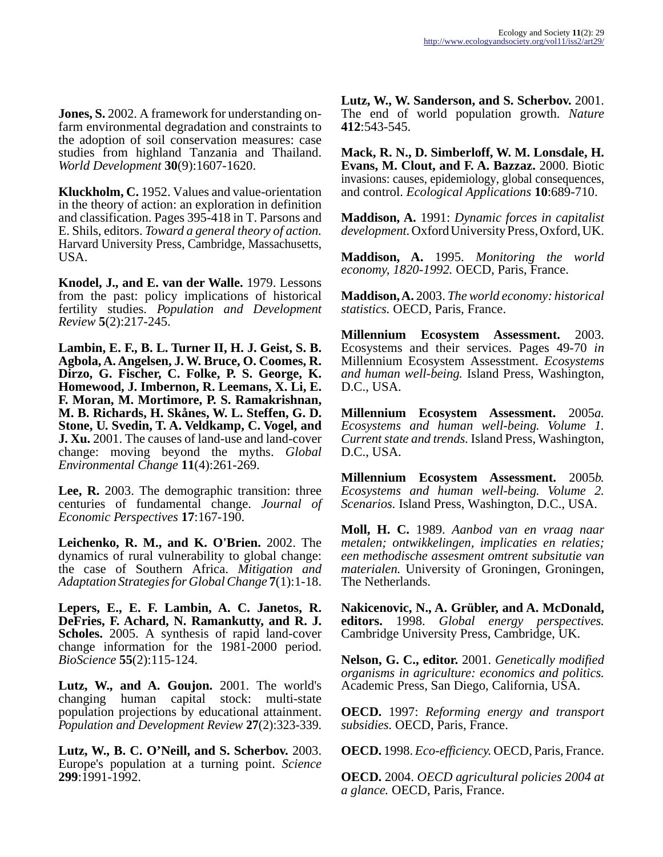**Jones, S.** 2002. A framework for understanding onfarm environmental degradation and constraints to the adoption of soil conservation measures: case studies from highland Tanzania and Thailand. *World Development* **30**(9):1607-1620.

**Kluckholm, C.** 1952. Values and value-orientation in the theory of action: an exploration in definition and classification. Pages 395-418 in T. Parsons and E. Shils, editors. *Toward a general theory of action.* Harvard University Press, Cambridge, Massachusetts, USA.

**Knodel, J., and E. van der Walle.** 1979. Lessons from the past: policy implications of historical fertility studies. *Population and Development Review* **5**(2):217-245.

**Lambin, E. F., B. L. Turner II, H. J. Geist, S. B. Agbola, A. Angelsen, J. W. Bruce, O. Coomes, R. Dirzo, G. Fischer, C. Folke, P. S. George, K. Homewood, J. Imbernon, R. Leemans, X. Li, E. F. Moran, M. Mortimore, P. S. Ramakrishnan, M. B. Richards, H. Skånes, W. L. Steffen, G. D. Stone, U. Svedin, T. A. Veldkamp, C. Vogel, and J. Xu.** 2001. The causes of land-use and land-cover change: moving beyond the myths. *Global Environmental Change* **11**(4):261-269.

**Lee, R.** 2003. The demographic transition: three centuries of fundamental change. *Journal of Economic Perspectives* **17**:167-190.

**Leichenko, R. M., and K. O'Brien.** 2002. The dynamics of rural vulnerability to global change: the case of Southern Africa. *Mitigation and Adaptation Strategies for Global Change* **7**(1):1-18.

**Lepers, E., E. F. Lambin, A. C. Janetos, R. DeFries, F. Achard, N. Ramankutty, and R. J. Scholes.** 2005. A synthesis of rapid land-cover change information for the 1981-2000 period. *BioScience* **55**(2):115-124.

**Lutz, W., and A. Goujon.** 2001. The world's changing human capital stock: multi-state population projections by educational attainment. *Population and Development Review* **27**(2):323-339.

**Lutz, W., B. C. O'Neill, and S. Scherbov.** 2003. Europe's population at a turning point. *Science* **299**:1991-1992.

**Lutz, W., W. Sanderson, and S. Scherbov.** 2001. The end of world population growth. *Nature* **412**:543-545.

**Mack, R. N., D. Simberloff, W. M. Lonsdale, H. Evans, M. Clout, and F. A. Bazzaz.** 2000. Biotic invasions: causes, epidemiology, global consequences, and control. *Ecological Applications* **10**:689-710.

**Maddison, A.** 1991: *Dynamic forces in capitalist development.* Oxford University Press, Oxford, UK.

**Maddison, A.** 1995. *Monitoring the world economy, 1820-1992.* OECD, Paris, France.

**Maddison, A.** 2003. *The world economy: historical statistics.* OECD, Paris, France.

**Millennium Ecosystem Assessment.** 2003. Ecosystems and their services. Pages 49-70 *in* Millennium Ecosystem Assesstment. *Ecosystems and human well-being.* Island Press, Washington, D.C., USA.

**Millennium Ecosystem Assessment.** 2005*a. Ecosystems and human well-being. Volume 1. Current state and trends.* Island Press, Washington, D.C., USA.

**Millennium Ecosystem Assessment.** 2005*b. Ecosystems and human well-being. Volume 2. Scenarios.* Island Press, Washington, D.C., USA.

**Moll, H. C.** 1989. *Aanbod van en vraag naar metalen; ontwikkelingen, implicaties en relaties; een methodische assesment omtrent subsitutie van materialen.* University of Groningen, Groningen, The Netherlands.

**Nakicenovic, N., A. Grübler, and A. McDonald, editors.** 1998. *Global energy perspectives.* Cambridge University Press, Cambridge, UK.

**Nelson, G. C., editor.** 2001. *Genetically modified organisms in agriculture: economics and politics.* Academic Press, San Diego, California, USA.

**OECD.** 1997: *Reforming energy and transport subsidies.* OECD, Paris, France.

**OECD.** 1998. *Eco-efficiency.* OECD, Paris, France.

**OECD.** 2004. *OECD agricultural policies 2004 at a glance.* OECD, Paris, France.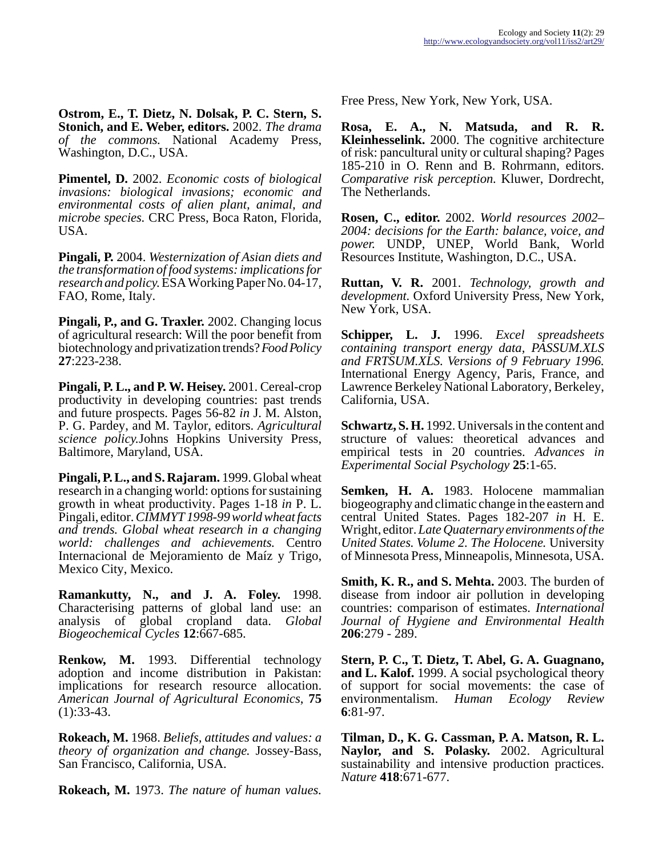**Ostrom, E., T. Dietz, N. Dolsak, P. C. Stern, S. Stonich, and E. Weber, editors.** 2002. *The drama of the commons.* National Academy Press, Washington, D.C., USA.

**Pimentel, D.** 2002. *Economic costs of biological invasions: biological invasions; economic and environmental costs of alien plant, animal, and microbe species.* CRC Press, Boca Raton, Florida, USA.

**Pingali, P.** 2004. *Westernization of Asian diets and the transformation of food systems: implications for research and policy.* ESA Working Paper No. 04-17, FAO, Rome, Italy.

**Pingali, P., and G. Traxler.** 2002. Changing locus of agricultural research: Will the poor benefit from biotechnology and privatization trends? *Food Policy* **27**:223-238.

**Pingali, P. L., and P. W. Heisey.** 2001. Cereal-crop productivity in developing countries: past trends and future prospects. Pages 56-82 *in* J. M. Alston, P. G. Pardey, and M. Taylor, editors. *Agricultural science policy.*Johns Hopkins University Press, Baltimore, Maryland, USA.

**Pingali, P. L., and S. Rajaram.** 1999. Global wheat research in a changing world: options for sustaining growth in wheat productivity. Pages 1-18 *in* P. L. Pingali, editor. *CIMMYT 1998-99 world wheat facts and trends. Global wheat research in a changing world: challenges and achievements.* Centro Internacional de Mejoramiento de Maíz y Trigo, Mexico City, Mexico.

**Ramankutty, N., and J. A. Foley.** 1998. Characterising patterns of global land use: an analysis of global cropland data. *Global Biogeochemical Cycles* **12**:667-685.

**Renkow, M.** 1993. Differential technology adoption and income distribution in Pakistan: implications for research resource allocation. *American Journal of Agricultural Economics*, **75**  $(1):33-43.$ 

**Rokeach, M.** 1968. *Beliefs, attitudes and values: a theory of organization and change.* Jossey-Bass, San Francisco, California, USA.

**Rokeach, M.** 1973. *The nature of human values.*

Free Press, New York, New York, USA.

**Rosa, E. A., N. Matsuda, and R. R. Kleinhesselink.** 2000. The cognitive architecture of risk: pancultural unity or cultural shaping? Pages 185-210 in O. Renn and B. Rohrmann, editors. *Comparative risk perception.* Kluwer, Dordrecht, The Netherlands.

**Rosen, C., editor.** 2002. *World resources 2002– 2004: decisions for the Earth: balance, voice, and power.* UNDP, UNEP, World Bank, World Resources Institute, Washington, D.C., USA.

**Ruttan, V. R.** 2001. *Technology, growth and development.* Oxford University Press, New York, New York, USA.

**Schipper, L. J.** 1996. *Excel spreadsheets containing transport energy data, PASSUM.XLS and FRTSUM.XLS. Versions of 9 February 1996.* International Energy Agency, Paris, France, and Lawrence Berkeley National Laboratory, Berkeley, California, USA.

**Schwartz, S. H.** 1992. Universals in the content and structure of values: theoretical advances and empirical tests in 20 countries. *Advances in Experimental Social Psychology* **25**:1-65.

**Semken, H. A.** 1983. Holocene mammalian biogeography and climatic change in the eastern and central United States. Pages 182-207 *in* H. E. Wright, editor. *Late Quaternary environments of the United States. Volume 2. The Holocene.* University of Minnesota Press, Minneapolis, Minnesota, USA.

**Smith, K. R., and S. Mehta.** 2003. The burden of disease from indoor air pollution in developing countries: comparison of estimates. *International Journal of Hygiene and Environmental Health* **206**:279 - 289.

**Stern, P. C., T. Dietz, T. Abel, G. A. Guagnano, and L. Kalof.** 1999. A social psychological theory of support for social movements: the case of environmentalism. *Human Ecology Review* **6**:81-97.

**Tilman, D., K. G. Cassman, P. A. Matson, R. L. Naylor, and S. Polasky.** 2002. Agricultural sustainability and intensive production practices. *Nature* **418**:671-677.